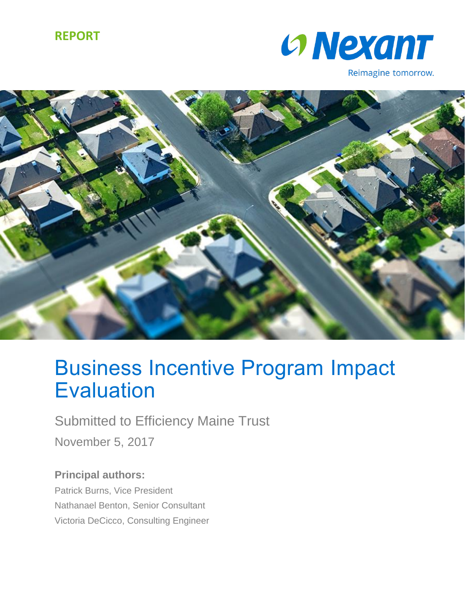### **REPORT**



Reimagine tomorrow.



# Business Incentive Program Impact **Evaluation**

Submitted to Efficiency Maine Trust

November 5, 2017

**Principal authors:** Patrick Burns, Vice President Nathanael Benton, Senior Consultant Victoria DeCicco, Consulting Engineer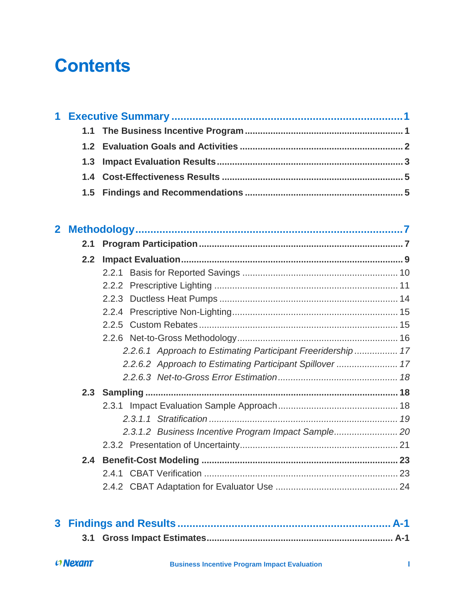# **Contents**

| 2.1 |                                                             |  |
|-----|-------------------------------------------------------------|--|
| 2.2 |                                                             |  |
|     |                                                             |  |
|     |                                                             |  |
|     |                                                             |  |
|     |                                                             |  |
|     |                                                             |  |
|     |                                                             |  |
|     | 2.2.6.1 Approach to Estimating Participant Freeridership 17 |  |
|     | 2.2.6.2 Approach to Estimating Participant Spillover  17    |  |
|     |                                                             |  |
|     |                                                             |  |
|     |                                                             |  |
|     |                                                             |  |
|     |                                                             |  |
|     |                                                             |  |
| 2.4 |                                                             |  |
|     |                                                             |  |
|     |                                                             |  |
|     |                                                             |  |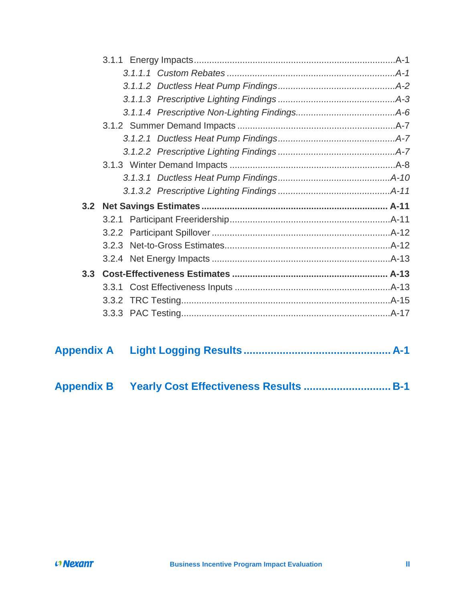| 3.3 |  |
|-----|--|
|     |  |
|     |  |
|     |  |
|     |  |

| <b>Appendix B</b> |  |  |  |  |
|-------------------|--|--|--|--|
|-------------------|--|--|--|--|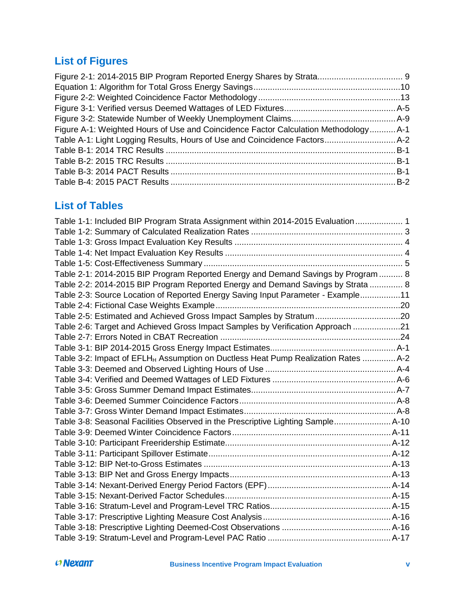## **List of Figures**

| Figure A-1: Weighted Hours of Use and Coincidence Factor Calculation Methodology A-1 |  |
|--------------------------------------------------------------------------------------|--|
|                                                                                      |  |
|                                                                                      |  |
|                                                                                      |  |
|                                                                                      |  |
|                                                                                      |  |

### **List of Tables**

| Table 1-1: Included BIP Program Strata Assignment within 2014-2015 Evaluation 1                |  |
|------------------------------------------------------------------------------------------------|--|
|                                                                                                |  |
|                                                                                                |  |
|                                                                                                |  |
|                                                                                                |  |
| Table 2-1: 2014-2015 BIP Program Reported Energy and Demand Savings by Program  8              |  |
| Table 2-2: 2014-2015 BIP Program Reported Energy and Demand Savings by Strata  8               |  |
| Table 2-3: Source Location of Reported Energy Saving Input Parameter - Example11               |  |
|                                                                                                |  |
| Table 2-5: Estimated and Achieved Gross Impact Samples by Stratum20                            |  |
| Table 2-6: Target and Achieved Gross Impact Samples by Verification Approach 21                |  |
|                                                                                                |  |
|                                                                                                |  |
| Table 3-2: Impact of EFLH <sub>H</sub> Assumption on Ductless Heat Pump Realization Rates  A-2 |  |
|                                                                                                |  |
|                                                                                                |  |
|                                                                                                |  |
|                                                                                                |  |
|                                                                                                |  |
| Table 3-8: Seasonal Facilities Observed in the Prescriptive Lighting Sample A-10               |  |
|                                                                                                |  |
|                                                                                                |  |
|                                                                                                |  |
|                                                                                                |  |
|                                                                                                |  |
|                                                                                                |  |
|                                                                                                |  |
|                                                                                                |  |
|                                                                                                |  |
|                                                                                                |  |
|                                                                                                |  |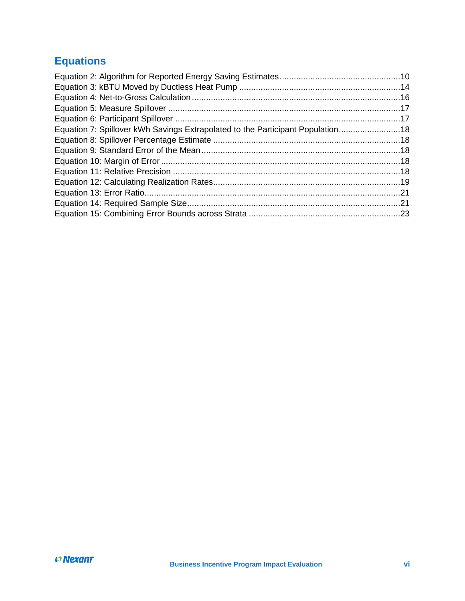## **Equations**

| Equation 7: Spillover kWh Savings Extrapolated to the Participant Population18 |  |
|--------------------------------------------------------------------------------|--|
|                                                                                |  |
|                                                                                |  |
|                                                                                |  |
|                                                                                |  |
|                                                                                |  |
|                                                                                |  |
|                                                                                |  |
|                                                                                |  |
|                                                                                |  |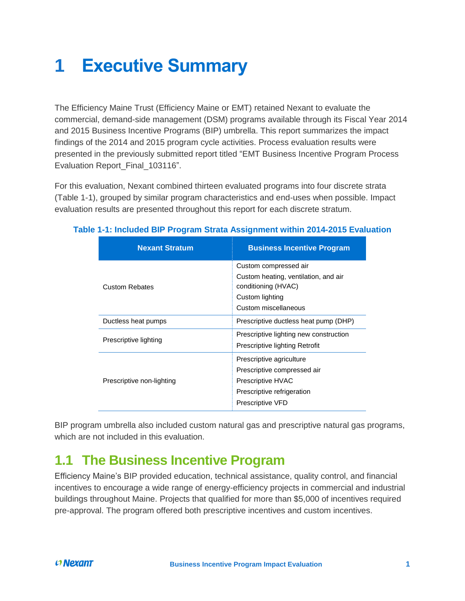# <span id="page-5-0"></span>**1 Executive Summary**

The Efficiency Maine Trust (Efficiency Maine or EMT) retained Nexant to evaluate the commercial, demand-side management (DSM) programs available through its Fiscal Year 2014 and 2015 Business Incentive Programs (BIP) umbrella. This report summarizes the impact findings of the 2014 and 2015 program cycle activities. Process evaluation results were presented in the previously submitted report titled "EMT Business Incentive Program Process Evaluation Report\_Final\_103116".

For this evaluation, Nexant combined thirteen evaluated programs into four discrete strata [\(Table 1-1\)](#page-5-2), grouped by similar program characteristics and end-uses when possible. Impact evaluation results are presented throughout this report for each discrete stratum.

| <b>Nexant Stratum</b>     | <b>Business Incentive Program</b>                           |  |
|---------------------------|-------------------------------------------------------------|--|
|                           | Custom compressed air                                       |  |
| <b>Custom Rebates</b>     | Custom heating, ventilation, and air<br>conditioning (HVAC) |  |
|                           | Custom lighting                                             |  |
|                           | Custom miscellaneous                                        |  |
| Ductless heat pumps       | Prescriptive ductless heat pump (DHP)                       |  |
| Prescriptive lighting     | Prescriptive lighting new construction                      |  |
|                           | Prescriptive lighting Retrofit                              |  |
|                           | Prescriptive agriculture                                    |  |
|                           | Prescriptive compressed air                                 |  |
| Prescriptive non-lighting | <b>Prescriptive HVAC</b>                                    |  |
|                           | Prescriptive refrigeration                                  |  |
|                           | <b>Prescriptive VFD</b>                                     |  |

### <span id="page-5-2"></span>**Table 1-1: Included BIP Program Strata Assignment within 2014-2015 Evaluation**

BIP program umbrella also included custom natural gas and prescriptive natural gas programs, which are not included in this evaluation.

## <span id="page-5-1"></span>**1.1 The Business Incentive Program**

Efficiency Maine's BIP provided education, technical assistance, quality control, and financial incentives to encourage a wide range of energy-efficiency projects in commercial and industrial buildings throughout Maine. Projects that qualified for more than \$5,000 of incentives required pre-approval. The program offered both prescriptive incentives and custom incentives.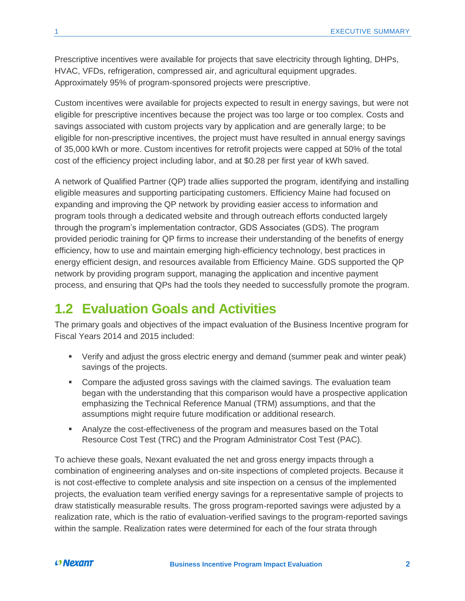Prescriptive incentives were available for projects that save electricity through lighting, DHPs, HVAC, VFDs, refrigeration, compressed air, and agricultural equipment upgrades. Approximately 95% of program-sponsored projects were prescriptive.

Custom incentives were available for projects expected to result in energy savings, but were not eligible for prescriptive incentives because the project was too large or too complex. Costs and savings associated with custom projects vary by application and are generally large; to be eligible for non-prescriptive incentives, the project must have resulted in annual energy savings of 35,000 kWh or more. Custom incentives for retrofit projects were capped at 50% of the total cost of the efficiency project including labor, and at \$0.28 per first year of kWh saved.

A network of Qualified Partner (QP) trade allies supported the program, identifying and installing eligible measures and supporting participating customers. Efficiency Maine had focused on expanding and improving the QP network by providing easier access to information and program tools through a dedicated website and through outreach efforts conducted largely through the program's implementation contractor, GDS Associates (GDS). The program provided periodic training for QP firms to increase their understanding of the benefits of energy efficiency, how to use and maintain emerging high-efficiency technology, best practices in energy efficient design, and resources available from Efficiency Maine. GDS supported the QP network by providing program support, managing the application and incentive payment process, and ensuring that QPs had the tools they needed to successfully promote the program.

### <span id="page-6-0"></span>**1.2 Evaluation Goals and Activities**

The primary goals and objectives of the impact evaluation of the Business Incentive program for Fiscal Years 2014 and 2015 included:

- Verify and adjust the gross electric energy and demand (summer peak and winter peak) savings of the projects.
- Compare the adjusted gross savings with the claimed savings. The evaluation team began with the understanding that this comparison would have a prospective application emphasizing the Technical Reference Manual (TRM) assumptions, and that the assumptions might require future modification or additional research.
- Analyze the cost-effectiveness of the program and measures based on the Total Resource Cost Test (TRC) and the Program Administrator Cost Test (PAC).

To achieve these goals, Nexant evaluated the net and gross energy impacts through a combination of engineering analyses and on-site inspections of completed projects. Because it is not cost-effective to complete analysis and site inspection on a census of the implemented projects, the evaluation team verified energy savings for a representative sample of projects to draw statistically measurable results. The gross program-reported savings were adjusted by a realization rate, which is the ratio of evaluation-verified savings to the program-reported savings within the sample. Realization rates were determined for each of the four strata through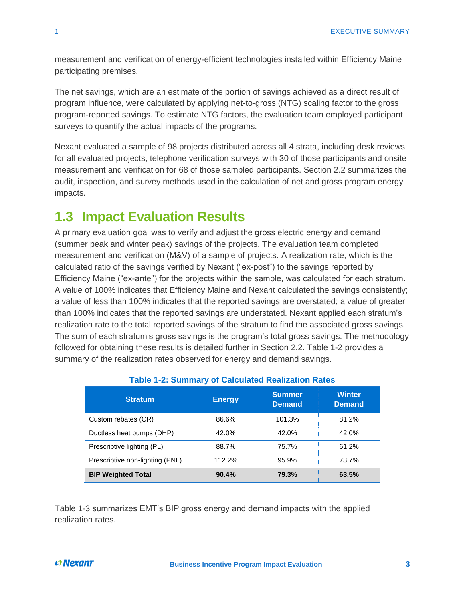measurement and verification of energy-efficient technologies installed within Efficiency Maine participating premises.

The net savings, which are an estimate of the portion of savings achieved as a direct result of program influence, were calculated by applying net-to-gross (NTG) scaling factor to the gross program-reported savings. To estimate NTG factors, the evaluation team employed participant surveys to quantify the actual impacts of the programs.

Nexant evaluated a sample of 98 projects distributed across all 4 strata, including desk reviews for all evaluated projects, telephone verification surveys with 30 of those participants and onsite measurement and verification for 68 of those sampled participants. Section 2.2 summarizes the audit, inspection, and survey methods used in the calculation of net and gross program energy impacts.

### <span id="page-7-0"></span>**1.3 Impact Evaluation Results**

A primary evaluation goal was to verify and adjust the gross electric energy and demand (summer peak and winter peak) savings of the projects. The evaluation team completed measurement and verification (M&V) of a sample of projects. A realization rate, which is the calculated ratio of the savings verified by Nexant ("ex-post") to the savings reported by Efficiency Maine ("ex-ante") for the projects within the sample, was calculated for each stratum. A value of 100% indicates that Efficiency Maine and Nexant calculated the savings consistently; a value of less than 100% indicates that the reported savings are overstated; a value of greater than 100% indicates that the reported savings are understated. Nexant applied each stratum's realization rate to the total reported savings of the stratum to find the associated gross savings. The sum of each stratum's gross savings is the program's total gross savings. The methodology followed for obtaining these results is detailed further in Section [2.2.](#page-13-0) [Table 1-2](#page-7-1) provides a summary of the realization rates observed for energy and demand savings.

<span id="page-7-1"></span>

| <b>Stratum</b>                  | <b>Energy</b> | <b>Summer</b><br><b>Demand</b> | <b>Winter</b><br><b>Demand</b> |
|---------------------------------|---------------|--------------------------------|--------------------------------|
| Custom rebates (CR)             | 86.6%         | 101.3%                         | 81.2%                          |
| Ductless heat pumps (DHP)       | 42.0%         | 42.0%                          | 42.0%                          |
| Prescriptive lighting (PL)      | 88.7%         | 75.7%                          | 61.2%                          |
| Prescriptive non-lighting (PNL) | 112.2%        | 95.9%                          | 73.7%                          |
| <b>BIP Weighted Total</b>       | 90.4%         | 79.3%                          | 63.5%                          |

### **Table 1-2: Summary of Calculated Realization Rates**

[Table 1-3](#page-8-0) summarizes EMT's BIP gross energy and demand impacts with the applied realization rates.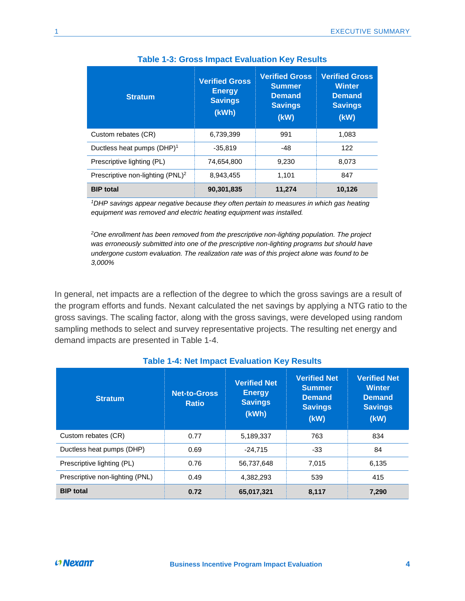<span id="page-8-0"></span>

| <b>Stratum</b>                               | <b>Verified Gross</b><br><b>Energy</b><br><b>Savings</b><br>(kWh) | <b>Verified Gross</b><br><b>Summer</b><br><b>Demand</b><br><b>Savings</b><br>(kW) | <b>Verified Gross</b><br><b>Winter</b><br><b>Demand</b><br><b>Savings</b><br>(kW) |
|----------------------------------------------|-------------------------------------------------------------------|-----------------------------------------------------------------------------------|-----------------------------------------------------------------------------------|
| Custom rebates (CR)                          | 6,739,399                                                         | 991                                                                               | 1.083                                                                             |
| Ductless heat pumps (DHP) <sup>1</sup>       | $-35.819$                                                         | -48                                                                               | 122                                                                               |
| Prescriptive lighting (PL)                   | 74,654,800                                                        | 9,230                                                                             | 8.073                                                                             |
| Prescriptive non-lighting (PNL) <sup>2</sup> | 8.943.455                                                         | 1.101                                                                             | 847                                                                               |
| <b>BIP</b> total                             | 90,301,835                                                        | 11,274                                                                            | 10,126                                                                            |

**Table 1-3: Gross Impact Evaluation Key Results**

*<sup>1</sup>DHP savings appear negative because they often pertain to measures in which gas heating equipment was removed and electric heating equipment was installed.*

*<sup>2</sup>One enrollment has been removed from the prescriptive non-lighting population. The project was erroneously submitted into one of the prescriptive non-lighting programs but should have undergone custom evaluation. The realization rate was of this project alone was found to be 3,000%*

In general, net impacts are a reflection of the degree to which the gross savings are a result of the program efforts and funds. Nexant calculated the net savings by applying a NTG ratio to the gross savings. The scaling factor, along with the gross savings, were developed using random sampling methods to select and survey representative projects. The resulting net energy and demand impacts are presented in [Table 1-4.](#page-8-1)

<span id="page-8-1"></span>

| Table 1-4. Net impact Evaluation Rey Results |                                     |                                                                 |                                                                                 |                                                                                 |  |
|----------------------------------------------|-------------------------------------|-----------------------------------------------------------------|---------------------------------------------------------------------------------|---------------------------------------------------------------------------------|--|
| <b>Stratum</b>                               | <b>Net-to-Gross</b><br><b>Ratio</b> | <b>Verified Net</b><br><b>Energy</b><br><b>Savings</b><br>(kWh) | <b>Verified Net</b><br><b>Summer</b><br><b>Demand</b><br><b>Savings</b><br>(kW) | <b>Verified Net</b><br><b>Winter</b><br><b>Demand</b><br><b>Savings</b><br>(KW) |  |
| Custom rebates (CR)                          | 0.77                                | 5,189,337                                                       | 763                                                                             | 834                                                                             |  |
| Ductless heat pumps (DHP)                    | 0.69                                | $-24.715$                                                       | $-33$                                                                           | 84                                                                              |  |
| Prescriptive lighting (PL)                   | 0.76                                | 56,737,648                                                      | 7,015                                                                           | 6,135                                                                           |  |
| Prescriptive non-lighting (PNL)              | 0.49                                | 4,382,293                                                       | 539                                                                             | 415                                                                             |  |
| <b>BIP</b> total                             | 0.72                                | 65,017,321                                                      | 8,117                                                                           | 7,290                                                                           |  |

### **Table 1-4: Net Impact Evaluation Key Results**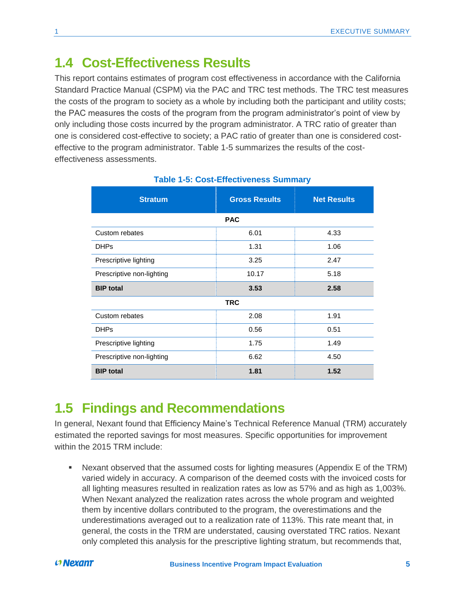## <span id="page-9-0"></span>**1.4 Cost-Effectiveness Results**

This report contains estimates of program cost effectiveness in accordance with the California Standard Practice Manual (CSPM) via the PAC and TRC test methods. The TRC test measures the costs of the program to society as a whole by including both the participant and utility costs; the PAC measures the costs of the program from the program administrator's point of view by only including those costs incurred by the program administrator. A TRC ratio of greater than one is considered cost-effective to society; a PAC ratio of greater than one is considered costeffective to the program administrator. [Table 1-5](#page-9-2) summarizes the results of the costeffectiveness assessments.

<span id="page-9-2"></span>

| <b>Stratum</b>            | <b>Gross Results</b> | <b>Net Results</b> |  |  |  |  |
|---------------------------|----------------------|--------------------|--|--|--|--|
| <b>PAC</b>                |                      |                    |  |  |  |  |
| Custom rebates            | 6.01                 | 4.33               |  |  |  |  |
| <b>DHPs</b>               | 1.31                 | 1.06               |  |  |  |  |
| Prescriptive lighting     | 3.25                 | 2.47               |  |  |  |  |
| Prescriptive non-lighting | 10.17                | 5.18               |  |  |  |  |
| <b>BIP</b> total          | 3.53                 | 2.58               |  |  |  |  |
|                           | <b>TRC</b>           |                    |  |  |  |  |
| Custom rebates            | 2.08                 | 1.91               |  |  |  |  |
| <b>DHPs</b>               | 0.56                 | 0.51               |  |  |  |  |
| Prescriptive lighting     | 1.75                 | 1.49               |  |  |  |  |
| Prescriptive non-lighting | 6.62                 | 4.50               |  |  |  |  |
| <b>BIP</b> total          | 1.81                 | 1.52               |  |  |  |  |

### **Table 1-5: Cost-Effectiveness Summary**

## <span id="page-9-1"></span>**1.5 Findings and Recommendations**

In general, Nexant found that Efficiency Maine's Technical Reference Manual (TRM) accurately estimated the reported savings for most measures. Specific opportunities for improvement within the 2015 TRM include:

Nexant observed that the assumed costs for lighting measures (Appendix E of the TRM) varied widely in accuracy. A comparison of the deemed costs with the invoiced costs for all lighting measures resulted in realization rates as low as 57% and as high as 1,003%. When Nexant analyzed the realization rates across the whole program and weighted them by incentive dollars contributed to the program, the overestimations and the underestimations averaged out to a realization rate of 113%. This rate meant that, in general, the costs in the TRM are understated, causing overstated TRC ratios. Nexant only completed this analysis for the prescriptive lighting stratum, but recommends that,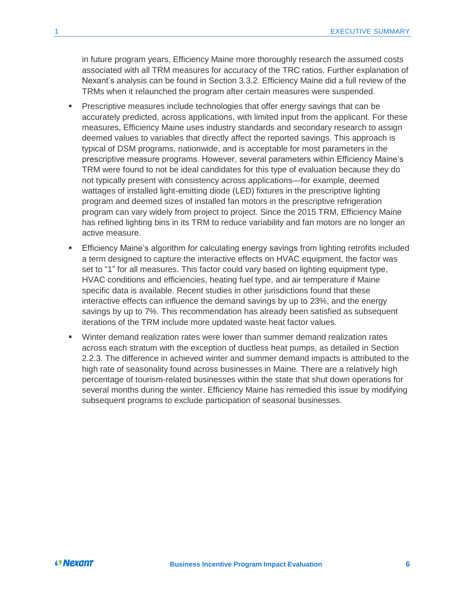in future program years, Efficiency Maine more thoroughly research the assumed costs associated with all TRM measures for accuracy of the TRC ratios. Further explanation of Nexant's analysis can be found in Section [3.3.2.](#page-44-0) Efficiency Maine did a full review of the TRMs when it relaunched the program after certain measures were suspended.

- Prescriptive measures include technologies that offer energy savings that can be accurately predicted, across applications, with limited input from the applicant. For these measures, Efficiency Maine uses industry standards and secondary research to assign deemed values to variables that directly affect the reported savings. This approach is typical of DSM programs, nationwide, and is acceptable for most parameters in the prescriptive measure programs. However, several parameters within Efficiency Maine's TRM were found to not be ideal candidates for this type of evaluation because they do not typically present with consistency across applications—for example, deemed wattages of installed light-emitting diode (LED) fixtures in the prescriptive lighting program and deemed sizes of installed fan motors in the prescriptive refrigeration program can vary widely from project to project. Since the 2015 TRM, Efficiency Maine has refined lighting bins in its TRM to reduce variability and fan motors are no longer an active measure.
- Efficiency Maine's algorithm for calculating energy savings from lighting retrofits included a term designed to capture the interactive effects on HVAC equipment, the factor was set to "1" for all measures. This factor could vary based on lighting equipment type, HVAC conditions and efficiencies, heating fuel type, and air temperature if Maine specific data is available. Recent studies in other jurisdictions found that these interactive effects can influence the demand savings by up to 23%, and the energy savings by up to 7%. This recommendation has already been satisfied as subsequent iterations of the TRM include more updated waste heat factor values.
- Winter demand realization rates were lower than summer demand realization rates across each stratum with the exception of ductless heat pumps, as detailed in Section [2.2.3.](#page-18-0) The difference in achieved winter and summer demand impacts is attributed to the high rate of seasonality found across businesses in Maine. There are a relatively high percentage of tourism-related businesses within the state that shut down operations for several months during the winter. Efficiency Maine has remedied this issue by modifying subsequent programs to exclude participation of seasonal businesses.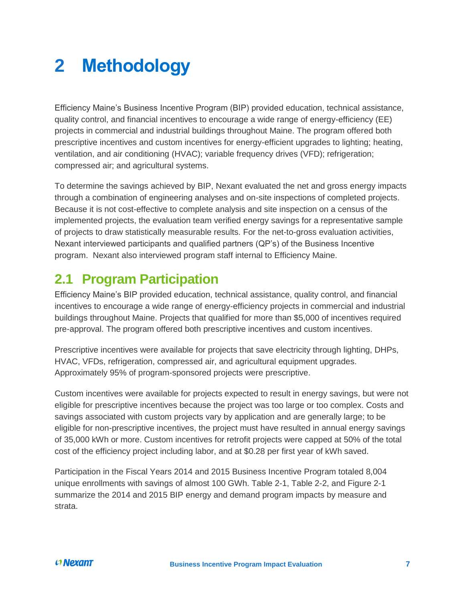# <span id="page-11-0"></span>**2 Methodology**

Efficiency Maine's Business Incentive Program (BIP) provided education, technical assistance, quality control, and financial incentives to encourage a wide range of energy-efficiency (EE) projects in commercial and industrial buildings throughout Maine. The program offered both prescriptive incentives and custom incentives for energy-efficient upgrades to lighting; heating, ventilation, and air conditioning (HVAC); variable frequency drives (VFD); refrigeration; compressed air; and agricultural systems.

To determine the savings achieved by BIP, Nexant evaluated the net and gross energy impacts through a combination of engineering analyses and on-site inspections of completed projects. Because it is not cost-effective to complete analysis and site inspection on a census of the implemented projects, the evaluation team verified energy savings for a representative sample of projects to draw statistically measurable results. For the net-to-gross evaluation activities, Nexant interviewed participants and qualified partners (QP's) of the Business Incentive program. Nexant also interviewed program staff internal to Efficiency Maine.

## <span id="page-11-1"></span>**2.1 Program Participation**

Efficiency Maine's BIP provided education, technical assistance, quality control, and financial incentives to encourage a wide range of energy-efficiency projects in commercial and industrial buildings throughout Maine. Projects that qualified for more than \$5,000 of incentives required pre-approval. The program offered both prescriptive incentives and custom incentives.

Prescriptive incentives were available for projects that save electricity through lighting, DHPs, HVAC, VFDs, refrigeration, compressed air, and agricultural equipment upgrades. Approximately 95% of program-sponsored projects were prescriptive.

Custom incentives were available for projects expected to result in energy savings, but were not eligible for prescriptive incentives because the project was too large or too complex. Costs and savings associated with custom projects vary by application and are generally large; to be eligible for non-prescriptive incentives, the project must have resulted in annual energy savings of 35,000 kWh or more. Custom incentives for retrofit projects were capped at 50% of the total cost of the efficiency project including labor, and at \$0.28 per first year of kWh saved.

Participation in the Fiscal Years 2014 and 2015 Business Incentive Program totaled 8,004 unique enrollments with savings of almost 100 GWh. [Table 2-1,](#page-12-0) [Table 2-2,](#page-12-1) and [Figure 2-1](#page-13-1) summarize the 2014 and 2015 BIP energy and demand program impacts by measure and strata.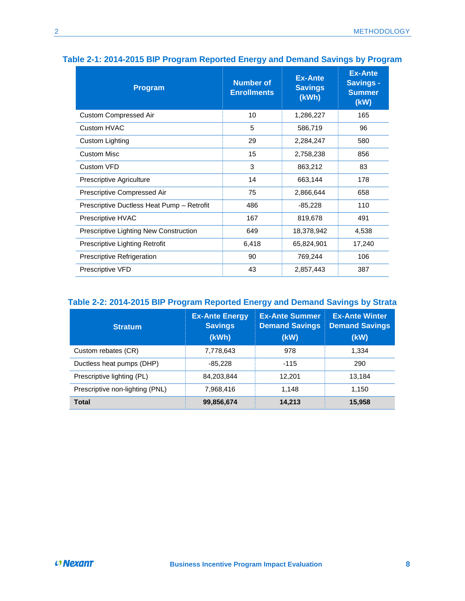| <b>Program</b>                             | <b>Number of</b><br><b>Enrollments</b> | <b>Ex-Ante</b><br><b>Savings</b><br>(kWh) | <b>Ex-Ante</b><br><b>Savings -</b><br><b>Summer</b><br>(kW) |
|--------------------------------------------|----------------------------------------|-------------------------------------------|-------------------------------------------------------------|
| <b>Custom Compressed Air</b>               | 10                                     | 1,286,227                                 | 165                                                         |
| Custom HVAC                                | 5                                      | 586,719                                   | 96                                                          |
| Custom Lighting                            | 29                                     | 2,284,247                                 | 580                                                         |
| <b>Custom Misc</b>                         | 15                                     | 2,758,238                                 | 856                                                         |
| Custom VFD                                 | 3                                      | 863,212                                   | 83                                                          |
| Prescriptive Agriculture                   | 14                                     | 663,144                                   | 178                                                         |
| Prescriptive Compressed Air                | 75                                     | 2,866,644                                 | 658                                                         |
| Prescriptive Ductless Heat Pump - Retrofit | 486                                    | $-85,228$                                 | 110                                                         |
| Prescriptive HVAC                          | 167                                    | 819,678                                   | 491                                                         |
| Prescriptive Lighting New Construction     | 649                                    | 18,378,942                                | 4,538                                                       |
| Prescriptive Lighting Retrofit             | 6,418                                  | 65,824,901                                | 17,240                                                      |
| Prescriptive Refrigeration                 | 90                                     | 769,244                                   | 106                                                         |
| Prescriptive VFD                           | 43                                     | 2,857,443                                 | 387                                                         |

### <span id="page-12-0"></span>**Table 2-1: 2014-2015 BIP Program Reported Energy and Demand Savings by Program**

### <span id="page-12-1"></span>**Table 2-2: 2014-2015 BIP Program Reported Energy and Demand Savings by Strata**

| <b>Stratum</b>                  | <b>Ex-Ante Energy</b><br><b>Savings</b><br>(kWh) | <b>Ex-Ante Summer</b><br><b>Demand Savings</b><br>(kW) | <b>Ex-Ante Winter</b><br><b>Demand Savings</b><br>(kW) |
|---------------------------------|--------------------------------------------------|--------------------------------------------------------|--------------------------------------------------------|
| Custom rebates (CR)             | 7,778,643                                        | 978                                                    | 1.334                                                  |
| Ductless heat pumps (DHP)       | $-85,228$                                        | $-115$                                                 | 290                                                    |
| Prescriptive lighting (PL)      | 84,203,844                                       | 12,201                                                 | 13,184                                                 |
| Prescriptive non-lighting (PNL) | 7.968.416                                        | 1.148                                                  | 1.150                                                  |
| <b>Total</b>                    | 99,856,674                                       | 14,213                                                 | 15,958                                                 |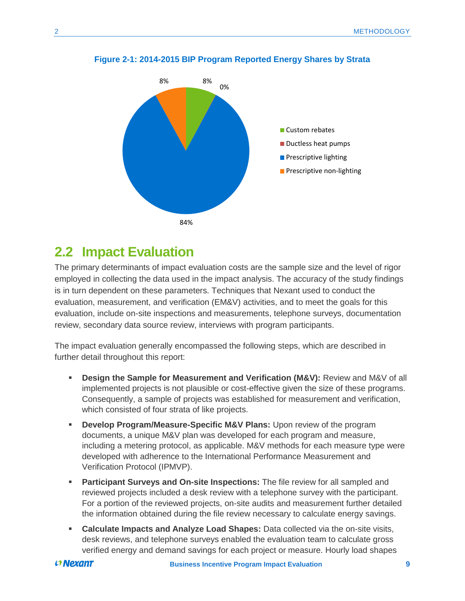

#### <span id="page-13-1"></span>**Figure 2-1: 2014-2015 BIP Program Reported Energy Shares by Strata**

## <span id="page-13-0"></span>**2.2 Impact Evaluation**

The primary determinants of impact evaluation costs are the sample size and the level of rigor employed in collecting the data used in the impact analysis. The accuracy of the study findings is in turn dependent on these parameters. Techniques that Nexant used to conduct the evaluation, measurement, and verification (EM&V) activities, and to meet the goals for this evaluation, include on-site inspections and measurements, telephone surveys, documentation review, secondary data source review, interviews with program participants.

The impact evaluation generally encompassed the following steps, which are described in further detail throughout this report:

- **EXECT** Design the Sample for Measurement and Verification (M&V): Review and M&V of all implemented projects is not plausible or cost-effective given the size of these programs. Consequently, a sample of projects was established for measurement and verification, which consisted of four strata of like projects.
- **EXP** Develop Program/Measure-Specific M&V Plans: Upon review of the program documents, a unique M&V plan was developed for each program and measure, including a metering protocol, as applicable. M&V methods for each measure type were developed with adherence to the International Performance Measurement and Verification Protocol (IPMVP).
- **EXECT** Participant Surveys and On-site Inspections: The file review for all sampled and reviewed projects included a desk review with a telephone survey with the participant. For a portion of the reviewed projects, on-site audits and measurement further detailed the information obtained during the file review necessary to calculate energy savings.
- **EXEDENT Calculate Impacts and Analyze Load Shapes:** Data collected via the on-site visits, desk reviews, and telephone surveys enabled the evaluation team to calculate gross verified energy and demand savings for each project or measure. Hourly load shapes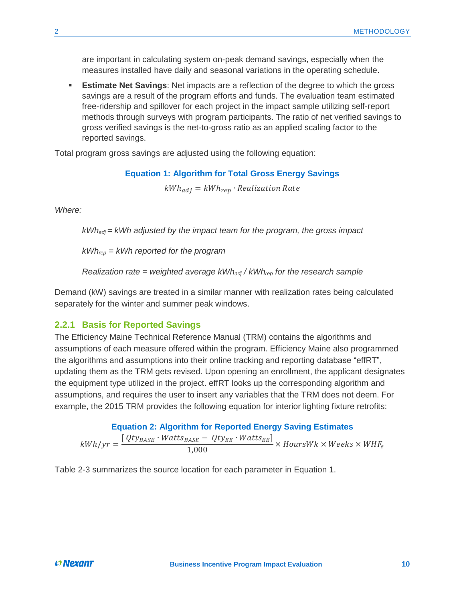are important in calculating system on-peak demand savings, especially when the measures installed have daily and seasonal variations in the operating schedule.

**Estimate Net Savings:** Net impacts are a reflection of the degree to which the gross savings are a result of the program efforts and funds. The evaluation team estimated free-ridership and spillover for each project in the impact sample utilizing self-report methods through surveys with program participants. The ratio of net verified savings to gross verified savings is the net-to-gross ratio as an applied scaling factor to the reported savings.

Total program gross savings are adjusted using the following equation:

**Equation 1: Algorithm for Total Gross Energy Savings**

 $kWh_{adi} = kWh_{ren} \cdot Realization Rate$ 

*Where:*

*kWhadj = kWh adjusted by the impact team for the program, the gross impact*

*kWhrep = kWh reported for the program*

*Realization rate = weighted average kWhadj / kWhrep for the research sample*

Demand (kW) savings are treated in a similar manner with realization rates being calculated separately for the winter and summer peak windows.

### <span id="page-14-0"></span>**2.2.1 Basis for Reported Savings**

The Efficiency Maine Technical Reference Manual (TRM) contains the algorithms and assumptions of each measure offered within the program. Efficiency Maine also programmed the algorithms and assumptions into their online tracking and reporting database "effRT", updating them as the TRM gets revised. Upon opening an enrollment, the applicant designates the equipment type utilized in the project. effRT looks up the corresponding algorithm and assumptions, and requires the user to insert any variables that the TRM does not deem. For example, the 2015 TRM provides the following equation for interior lighting fixture retrofits:

### **Equation 2: Algorithm for Reported Energy Saving Estimates**

 $kWh/yr = \frac{[Qty_{BASE} \cdot Watts_{BASE} - Qty_{EE} \cdot Watts_{EE}]}{1.000}$  $\frac{1}{1,000}$   $\rightarrow$   $\frac{1}{1,000}$   $\times$  HoursWk  $\times$  Weeks  $\times$  WHF<sub>e</sub>

[Table 2-3](#page-15-1) summarizes the source location for each parameter in Equation 1.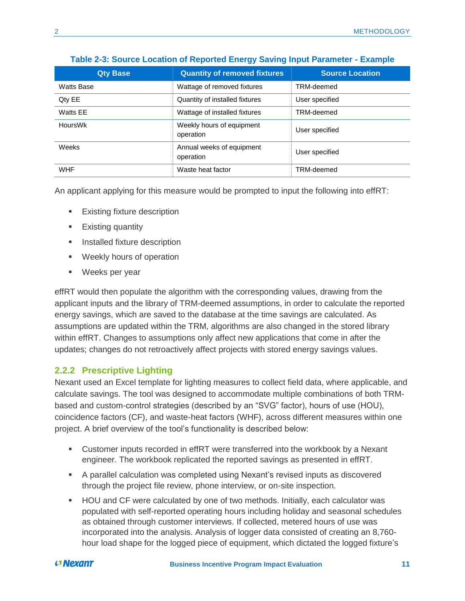<span id="page-15-1"></span>

| <b>Qty Base</b> | <b>Quantity of removed fixtures</b>              | <b>Source Location</b> |
|-----------------|--------------------------------------------------|------------------------|
| Watts Base      | Wattage of removed fixtures                      | TRM-deemed             |
| Qty EE          | Quantity of installed fixtures<br>User specified |                        |
| Watts EE        | Wattage of installed fixtures                    | TRM-deemed             |
| <b>HoursWk</b>  | Weekly hours of equipment<br>operation           | User specified         |
| Weeks           | Annual weeks of equipment<br>operation           | User specified         |
| <b>WHF</b>      | Waste heat factor                                | TRM-deemed             |

### **Table 2-3: Source Location of Reported Energy Saving Input Parameter - Example**

An applicant applying for this measure would be prompted to input the following into effRT:

- Existing fixture description
- Existing quantity
- **EXECUTE:** Installed fixture description
- Weekly hours of operation
- Weeks per year

effRT would then populate the algorithm with the corresponding values, drawing from the applicant inputs and the library of TRM-deemed assumptions, in order to calculate the reported energy savings, which are saved to the database at the time savings are calculated. As assumptions are updated within the TRM, algorithms are also changed in the stored library within effRT. Changes to assumptions only affect new applications that come in after the updates; changes do not retroactively affect projects with stored energy savings values.

### <span id="page-15-0"></span>**2.2.2 Prescriptive Lighting**

Nexant used an Excel template for lighting measures to collect field data, where applicable, and calculate savings. The tool was designed to accommodate multiple combinations of both TRMbased and custom-control strategies (described by an "SVG" factor), hours of use (HOU), coincidence factors (CF), and waste-heat factors (WHF), across different measures within one project. A brief overview of the tool's functionality is described below:

- Customer inputs recorded in effRT were transferred into the workbook by a Nexant engineer. The workbook replicated the reported savings as presented in effRT.
- A parallel calculation was completed using Nexant's revised inputs as discovered through the project file review, phone interview, or on-site inspection.
- HOU and CF were calculated by one of two methods. Initially, each calculator was populated with self-reported operating hours including holiday and seasonal schedules as obtained through customer interviews. If collected, metered hours of use was incorporated into the analysis. Analysis of logger data consisted of creating an 8,760 hour load shape for the logged piece of equipment, which dictated the logged fixture's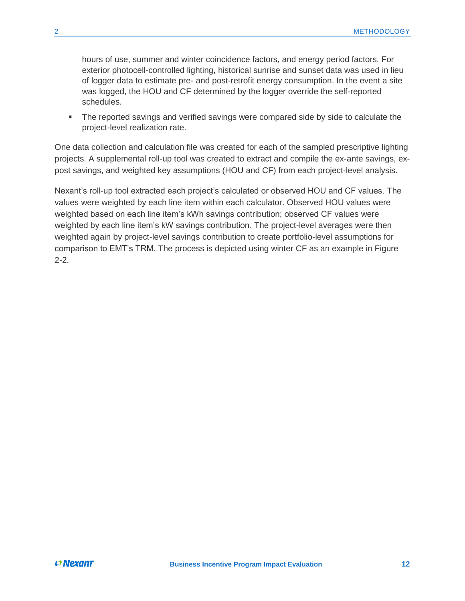hours of use, summer and winter coincidence factors, and energy period factors. For exterior photocell-controlled lighting, historical sunrise and sunset data was used in lieu of logger data to estimate pre- and post-retrofit energy consumption. In the event a site was logged, the HOU and CF determined by the logger override the self-reported schedules.

**•** The reported savings and verified savings were compared side by side to calculate the project-level realization rate.

One data collection and calculation file was created for each of the sampled prescriptive lighting projects. A supplemental roll-up tool was created to extract and compile the ex-ante savings, expost savings, and weighted key assumptions (HOU and CF) from each project-level analysis.

Nexant's roll-up tool extracted each project's calculated or observed HOU and CF values. The values were weighted by each line item within each calculator. Observed HOU values were weighted based on each line item's kWh savings contribution; observed CF values were weighted by each line item's kW savings contribution. The project-level averages were then weighted again by project-level savings contribution to create portfolio-level assumptions for comparison to EMT's TRM. The process is depicted using winter CF as an example in [Figure](#page-17-0)  [2-2.](#page-17-0)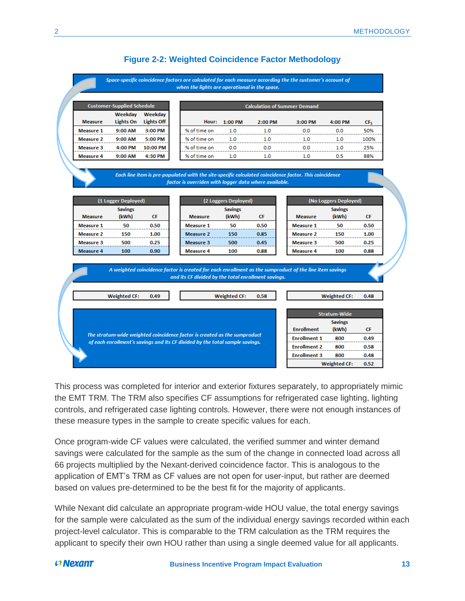### **Figure 2-2: Weighted Coincidence Factor Methodology**

Space-specific coincidence factors are calculated for each measure according the the customer's account of when the lights are operational in the space.

<span id="page-17-0"></span>

|                | <b>Customer-Supplied Schedule</b> |                       | <b>Calculation of Summer Demand</b> |         |         |         |         |                 |
|----------------|-----------------------------------|-----------------------|-------------------------------------|---------|---------|---------|---------|-----------------|
| <b>Measure</b> | Weekday<br>Lights On              | Weekday<br>Lights Off | Hour:                               | 1:00 PM | 2:00 PM | 3:00 PM | 4:00 PM | CF <sub>S</sub> |
| Measure 1      | $9:00$ AM                         | 3:00 PM               | % of time on                        | 1.0     | 1.0     | 0.0     | 0.0     | 50%             |
| Measure 2      | 9:00 AM                           | 5:00 PM               | % of time on                        | 1 O     | 1 ດ     | 10      | 1.0     | 100%            |
| Measure 3      | 4:00 PM                           | 10:00 PM              | % of time on                        | 0.0     | 0.0     | 0.0     | 1.0     | 25%             |
| Measure 4      | $9:00$ AM                         | 4:30 PM               | % of time on                        | 1.0     | 1.0     | 1.0     | 0.5     | 88%             |

#### Each line item is pre-populated with the site-specific calculated coincidence factor. This coincidence factor is overriden with logger data where available.

| (1 Logger Deployed) |       |      |  |  |  |
|---------------------|-------|------|--|--|--|
| <b>Savings</b>      |       |      |  |  |  |
| <b>Measure</b>      | (kWh) | СF   |  |  |  |
| <b>Measure 1</b>    | 50    | 0.50 |  |  |  |
| <b>Measure 2</b>    | 150   | 1.00 |  |  |  |
| <b>Measure 3</b>    | 500   | 0.25 |  |  |  |
| <b>Measure 4</b>    | 100   | 0.90 |  |  |  |

| (2 Loggers Deployed) |       |      |  |  |
|----------------------|-------|------|--|--|
| <b>Savings</b>       |       |      |  |  |
| <b>Measure</b>       | (kWh) | СF   |  |  |
| <b>Measure 1</b>     | 50    | 0.50 |  |  |
| <b>Measure 2</b>     | 150   | 0.85 |  |  |
| <b>Measure 3</b>     | 500   | 0.45 |  |  |
| <b>Measure 4</b>     | 100   | 0.88 |  |  |

|                  | (No Loggers Deployed) |      |  |  |  |
|------------------|-----------------------|------|--|--|--|
|                  | <b>Savings</b>        |      |  |  |  |
| <b>Measure</b>   | (kWh)                 | СF   |  |  |  |
| <b>Measure 1</b> | 50                    | 0.50 |  |  |  |
| <b>Measure 2</b> | 150                   | 1.00 |  |  |  |
| <b>Measure 3</b> | 500                   | 0.25 |  |  |  |
| <b>Measure 4</b> | 100                   | 0.88 |  |  |  |

| A weighted coincidence factor is created for each enrollment as the sumproduct of the line item savings<br>and its CF divided by the total enrollment savings. |                                                                                                                |
|----------------------------------------------------------------------------------------------------------------------------------------------------------------|----------------------------------------------------------------------------------------------------------------|
| <b>Weighted CF:</b><br><b>Weighted CF:</b><br>0.49<br>0.58                                                                                                     | <b>Weighted CF:</b><br>0.48                                                                                    |
|                                                                                                                                                                | <b>Stratum-Wide</b><br><b>Savings</b><br><b>Enrollment</b><br>(kWh)<br><b>CF</b>                               |
| The stratum-wide weighted coincidence factor is created as the sumproduct<br>of each enrollment's savings and its CF divided by the total sample savings.      | <b>Enrollment 1</b><br>800<br>0.49<br><b>Enrollment 2</b><br>800<br>0.58<br><b>Enrollment 3</b><br>800<br>0.48 |
|                                                                                                                                                                | <b>Weighted CF:</b><br>0.52                                                                                    |

This process was completed for interior and exterior fixtures separately, to appropriately mimic the EMT TRM. The TRM also specifies CF assumptions for refrigerated case lighting, lighting controls, and refrigerated case lighting controls. However, there were not enough instances of these measure types in the sample to create specific values for each.

Once program-wide CF values were calculated, the verified summer and winter demand savings were calculated for the sample as the sum of the change in connected load across all 66 projects multiplied by the Nexant-derived coincidence factor. This is analogous to the application of EMT's TRM as CF values are not open for user-input, but rather are deemed based on values pre-determined to be the best fit for the majority of applicants.

While Nexant did calculate an appropriate program-wide HOU value, the total energy savings for the sample were calculated as the sum of the individual energy savings recorded within each project-level calculator. This is comparable to the TRM calculation as the TRM requires the applicant to specify their own HOU rather than using a single deemed value for all applicants.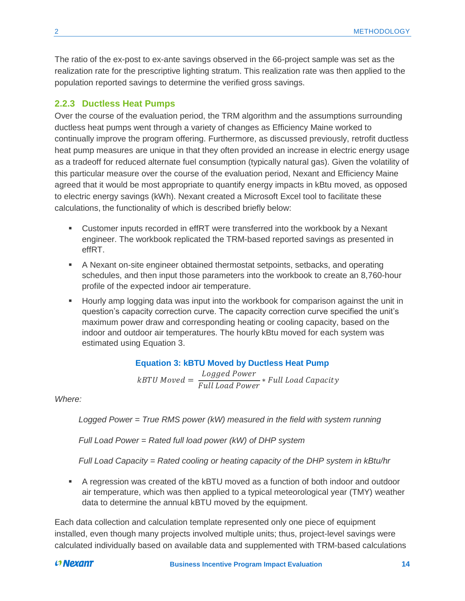The ratio of the ex-post to ex-ante savings observed in the 66-project sample was set as the realization rate for the prescriptive lighting stratum. This realization rate was then applied to the population reported savings to determine the verified gross savings.

### <span id="page-18-0"></span>**2.2.3 Ductless Heat Pumps**

Over the course of the evaluation period, the TRM algorithm and the assumptions surrounding ductless heat pumps went through a variety of changes as Efficiency Maine worked to continually improve the program offering. Furthermore, as discussed previously, retrofit ductless heat pump measures are unique in that they often provided an increase in electric energy usage as a tradeoff for reduced alternate fuel consumption (typically natural gas). Given the volatility of this particular measure over the course of the evaluation period, Nexant and Efficiency Maine agreed that it would be most appropriate to quantify energy impacts in kBtu moved, as opposed to electric energy savings (kWh). Nexant created a Microsoft Excel tool to facilitate these calculations, the functionality of which is described briefly below:

- Customer inputs recorded in effRT were transferred into the workbook by a Nexant engineer. The workbook replicated the TRM-based reported savings as presented in effRT.
- A Nexant on-site engineer obtained thermostat setpoints, setbacks, and operating schedules, and then input those parameters into the workbook to create an 8,760-hour profile of the expected indoor air temperature.
- **E** Hourly amp logging data was input into the workbook for comparison against the unit in question's capacity correction curve. The capacity correction curve specified the unit's maximum power draw and corresponding heating or cooling capacity, based on the indoor and outdoor air temperatures. The hourly kBtu moved for each system was estimated using [Equation 3.](#page-18-1)

**Equation 3: kBTU Moved by Ductless Heat Pump**

kBTU Moved = Logged Power *<u><del>Full Load Power</del>* \* Full Load Capacity</u>

<span id="page-18-1"></span>*Where:*

*Logged Power = True RMS power (kW) measured in the field with system running*

*Full Load Power = Rated full load power (kW) of DHP system* 

*Full Load Capacity = Rated cooling or heating capacity of the DHP system in kBtu/hr*

■ A regression was created of the kBTU moved as a function of both indoor and outdoor air temperature, which was then applied to a typical meteorological year (TMY) weather data to determine the annual kBTU moved by the equipment.

Each data collection and calculation template represented only one piece of equipment installed, even though many projects involved multiple units; thus, project-level savings were calculated individually based on available data and supplemented with TRM-based calculations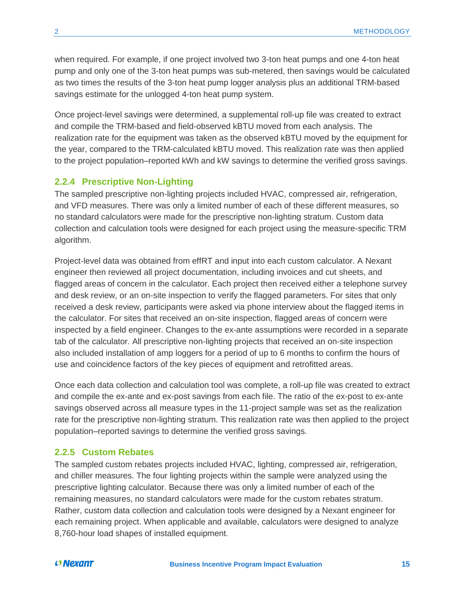when required. For example, if one project involved two 3-ton heat pumps and one 4-ton heat pump and only one of the 3-ton heat pumps was sub-metered, then savings would be calculated as two times the results of the 3-ton heat pump logger analysis plus an additional TRM-based savings estimate for the unlogged 4-ton heat pump system.

Once project-level savings were determined, a supplemental roll-up file was created to extract and compile the TRM-based and field-observed kBTU moved from each analysis. The realization rate for the equipment was taken as the observed kBTU moved by the equipment for the year, compared to the TRM-calculated kBTU moved. This realization rate was then applied to the project population–reported kWh and kW savings to determine the verified gross savings.

### <span id="page-19-0"></span>**2.2.4 Prescriptive Non-Lighting**

The sampled prescriptive non-lighting projects included HVAC, compressed air, refrigeration, and VFD measures. There was only a limited number of each of these different measures, so no standard calculators were made for the prescriptive non-lighting stratum. Custom data collection and calculation tools were designed for each project using the measure-specific TRM algorithm.

Project-level data was obtained from effRT and input into each custom calculator. A Nexant engineer then reviewed all project documentation, including invoices and cut sheets, and flagged areas of concern in the calculator. Each project then received either a telephone survey and desk review, or an on-site inspection to verify the flagged parameters. For sites that only received a desk review, participants were asked via phone interview about the flagged items in the calculator. For sites that received an on-site inspection, flagged areas of concern were inspected by a field engineer. Changes to the ex-ante assumptions were recorded in a separate tab of the calculator. All prescriptive non-lighting projects that received an on-site inspection also included installation of amp loggers for a period of up to 6 months to confirm the hours of use and coincidence factors of the key pieces of equipment and retrofitted areas.

Once each data collection and calculation tool was complete, a roll-up file was created to extract and compile the ex-ante and ex-post savings from each file. The ratio of the ex-post to ex-ante savings observed across all measure types in the 11-project sample was set as the realization rate for the prescriptive non-lighting stratum. This realization rate was then applied to the project population–reported savings to determine the verified gross savings.

### <span id="page-19-1"></span>**2.2.5 Custom Rebates**

The sampled custom rebates projects included HVAC, lighting, compressed air, refrigeration, and chiller measures. The four lighting projects within the sample were analyzed using the prescriptive lighting calculator. Because there was only a limited number of each of the remaining measures, no standard calculators were made for the custom rebates stratum. Rather, custom data collection and calculation tools were designed by a Nexant engineer for each remaining project. When applicable and available, calculators were designed to analyze 8,760-hour load shapes of installed equipment.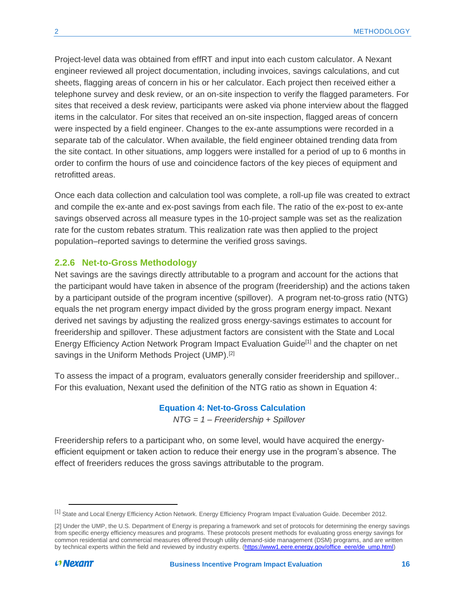Project-level data was obtained from effRT and input into each custom calculator. A Nexant engineer reviewed all project documentation, including invoices, savings calculations, and cut sheets, flagging areas of concern in his or her calculator. Each project then received either a telephone survey and desk review, or an on-site inspection to verify the flagged parameters. For sites that received a desk review, participants were asked via phone interview about the flagged items in the calculator. For sites that received an on-site inspection, flagged areas of concern were inspected by a field engineer. Changes to the ex-ante assumptions were recorded in a separate tab of the calculator. When available, the field engineer obtained trending data from the site contact. In other situations, amp loggers were installed for a period of up to 6 months in order to confirm the hours of use and coincidence factors of the key pieces of equipment and retrofitted areas.

Once each data collection and calculation tool was complete, a roll-up file was created to extract and compile the ex-ante and ex-post savings from each file. The ratio of the ex-post to ex-ante savings observed across all measure types in the 10-project sample was set as the realization rate for the custom rebates stratum. This realization rate was then applied to the project population–reported savings to determine the verified gross savings.

### <span id="page-20-0"></span>**2.2.6 Net-to-Gross Methodology**

Net savings are the savings directly attributable to a program and account for the actions that the participant would have taken in absence of the program (freeridership) and the actions taken by a participant outside of the program incentive (spillover). A program net-to-gross ratio (NTG) equals the net program energy impact divided by the gross program energy impact. Nexant derived net savings by adjusting the realized gross energy-savings estimates to account for freeridership and spillover. These adjustment factors are consistent with the State and Local Energy Efficiency Action Network Program Impact Evaluation Guide<sup>[1]</sup> and the chapter on net savings in the Uniform Methods Project (UMP).<sup>[2]</sup>

<span id="page-20-1"></span>To assess the impact of a program, evaluators generally consider freeridership and spillover.. For this evaluation, Nexant used the definition of the NTG ratio as shown in [Equation 4:](#page-20-1)

### **Equation 4: Net-to-Gross Calculation**

*NTG = 1 – Freeridership + Spillover*

Freeridership refers to a participant who, on some level, would have acquired the energyefficient equipment or taken action to reduce their energy use in the program's absence. The effect of freeriders reduces the gross savings attributable to the program.

 $\overline{a}$ 

<sup>[1]</sup> State and Local Energy Efficiency Action Network. Energy Efficiency Program Impact Evaluation Guide. December 2012.

<sup>[2]</sup> Under the UMP, the U.S. Department of Energy is preparing a framework and set of protocols for determining the energy savings from specific energy efficiency measures and programs. These protocols present methods for evaluating gross energy savings for common residential and commercial measures offered through utility demand-side management (DSM) programs, and are written by technical experts within the field and reviewed by industry experts. [\(https://www1.eere.energy.gov/office\\_eere/de\\_ump.html\)](https://www1.eere.energy.gov/office_eere/de_ump.html)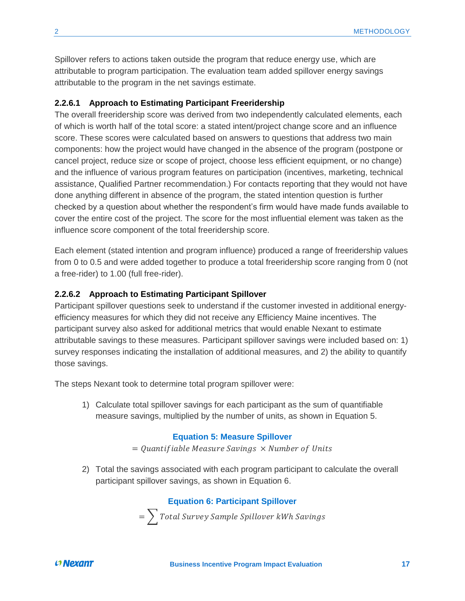Spillover refers to actions taken outside the program that reduce energy use, which are attributable to program participation. The evaluation team added spillover energy savings attributable to the program in the net savings estimate.

### <span id="page-21-0"></span>**2.2.6.1 Approach to Estimating Participant Freeridership**

The overall freeridership score was derived from two independently calculated elements, each of which is worth half of the total score: a stated intent/project change score and an influence score. These scores were calculated based on answers to questions that address two main components: how the project would have changed in the absence of the program (postpone or cancel project, reduce size or scope of project, choose less efficient equipment, or no change) and the influence of various program features on participation (incentives, marketing, technical assistance, Qualified Partner recommendation.) For contacts reporting that they would not have done anything different in absence of the program, the stated intention question is further checked by a question about whether the respondent's firm would have made funds available to cover the entire cost of the project. The score for the most influential element was taken as the influence score component of the total freeridership score.

Each element (stated intention and program influence) produced a range of freeridership values from 0 to 0.5 and were added together to produce a total freeridership score ranging from 0 (not a free-rider) to 1.00 (full free-rider).

### <span id="page-21-1"></span>**2.2.6.2 Approach to Estimating Participant Spillover**

Participant spillover questions seek to understand if the customer invested in additional energyefficiency measures for which they did not receive any Efficiency Maine incentives. The participant survey also asked for additional metrics that would enable Nexant to estimate attributable savings to these measures. Participant spillover savings were included based on: 1) survey responses indicating the installation of additional measures, and 2) the ability to quantify those savings.

The steps Nexant took to determine total program spillover were:

<span id="page-21-2"></span>1) Calculate total spillover savings for each participant as the sum of quantifiable measure savings, multiplied by the number of units, as shown in [Equation 5.](#page-21-2)

#### **Equation 5: Measure Spillover**

 $=$  Quantifiable Measure Savings  $\times$  Number of Units

<span id="page-21-3"></span>2) Total the savings associated with each program participant to calculate the overall participant spillover savings, as shown in [Equation 6.](#page-21-3)

### **Equation 6: Participant Spillover**

 $=\sum$  Total Survey Sample Spillover kWh Savings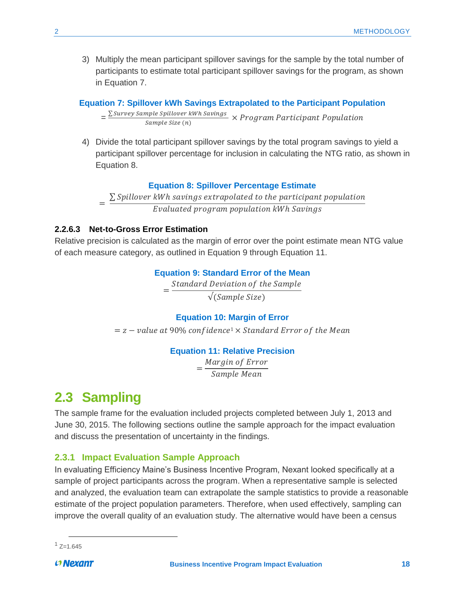3) Multiply the mean participant spillover savings for the sample by the total number of participants to estimate total participant spillover savings for the program, as shown in [Equation 7.](#page-22-3)

### <span id="page-22-3"></span>**Equation 7: Spillover kWh Savings Extrapolated to the Participant Population**

 $=\frac{\sum Survey Sample Spillover kWh\,Savings}{Sumelsed from 1.5cm (a)}$  $\frac{L}{L}$  ( $\frac{L}{L}$ )  $\frac{L}{L}$   $\frac{L}{L}$   $\frac{L}{L}$   $\times$  Program Participant Population

4) Divide the total participant spillover savings by the total program savings to yield a participant spillover percentage for inclusion in calculating the NTG ratio, as shown in [Equation 8.](#page-22-4)

#### **Equation 8: Spillover Percentage Estimate**

=  $\Sigma$  Spillover kWh savings extrapolated to the participant population Evaluated program population kWh Savings

### <span id="page-22-4"></span><span id="page-22-0"></span>**2.2.6.3 Net-to-Gross Error Estimation**

<span id="page-22-5"></span>Relative precision is calculated as the margin of error over the point estimate mean NTG value of each measure category, as outlined in [Equation 9](#page-22-5) through [Equation 11.](#page-22-6)

#### **Equation 9: Standard Error of the Mean**

= Standard Deviation of the Sample

√(Sample Size)

### **Equation 10: Margin of Error**

 $z = z -$  value at 90% confidence<sup>1</sup>  $\times$  Standard Error of the Mean

#### **Equation 11: Relative Precision**

= Margin of Error Sample Mean

### <span id="page-22-6"></span><span id="page-22-1"></span>**2.3 Sampling**

The sample frame for the evaluation included projects completed between July 1, 2013 and June 30, 2015. The following sections outline the sample approach for the impact evaluation and discuss the presentation of uncertainty in the findings.

### <span id="page-22-2"></span>**2.3.1 Impact Evaluation Sample Approach**

In evaluating Efficiency Maine's Business Incentive Program, Nexant looked specifically at a sample of project participants across the program. When a representative sample is selected and analyzed, the evaluation team can extrapolate the sample statistics to provide a reasonable estimate of the project population parameters. Therefore, when used effectively, sampling can improve the overall quality of an evaluation study. The alternative would have been a census

 $\overline{a}$  $1$  Z=1.645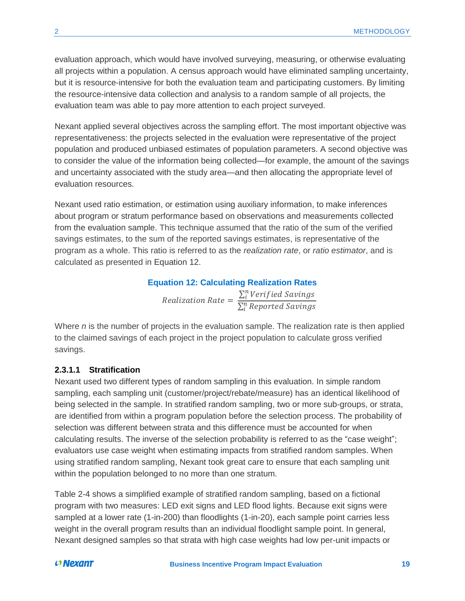evaluation approach, which would have involved surveying, measuring, or otherwise evaluating all projects within a population. A census approach would have eliminated sampling uncertainty, but it is resource-intensive for both the evaluation team and participating customers. By limiting the resource-intensive data collection and analysis to a random sample of all projects, the evaluation team was able to pay more attention to each project surveyed.

Nexant applied several objectives across the sampling effort. The most important objective was representativeness: the projects selected in the evaluation were representative of the project population and produced unbiased estimates of population parameters. A second objective was to consider the value of the information being collected—for example, the amount of the savings and uncertainty associated with the study area—and then allocating the appropriate level of evaluation resources.

Nexant used ratio estimation, or estimation using auxiliary information, to make inferences about program or stratum performance based on observations and measurements collected from the evaluation sample. This technique assumed that the ratio of the sum of the verified savings estimates, to the sum of the reported savings estimates, is representative of the program as a whole. This ratio is referred to as the *realization rate*, or *ratio estimator*, and is calculated as presented in [Equation 12.](#page-23-1)

### **Equation 12: Calculating Realization Rates**

Realization Rate =  $\sum_{i}^{n}$ Verified Savings  $\sum_{i}^{n}$  Reported Savings

<span id="page-23-1"></span>Where *n* is the number of projects in the evaluation sample. The realization rate is then applied to the claimed savings of each project in the project population to calculate gross verified savings.

### <span id="page-23-0"></span>**2.3.1.1 Stratification**

Nexant used two different types of random sampling in this evaluation. In simple random sampling, each sampling unit (customer/project/rebate/measure) has an identical likelihood of being selected in the sample. In stratified random sampling, two or more sub-groups, or strata, are identified from within a program population before the selection process. The probability of selection was different between strata and this difference must be accounted for when calculating results. The inverse of the selection probability is referred to as the "case weight"; evaluators use case weight when estimating impacts from stratified random samples. When using stratified random sampling, Nexant took great care to ensure that each sampling unit within the population belonged to no more than one stratum.

[Table 2-4](#page-24-1) shows a simplified example of stratified random sampling, based on a fictional program with two measures: LED exit signs and LED flood lights. Because exit signs were sampled at a lower rate (1-in-200) than floodlights (1-in-20), each sample point carries less weight in the overall program results than an individual floodlight sample point. In general, Nexant designed samples so that strata with high case weights had low per-unit impacts or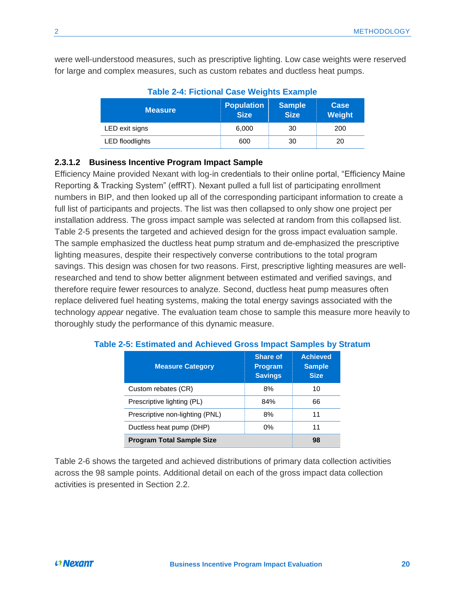<span id="page-24-1"></span>were well-understood measures, such as prescriptive lighting. Low case weights were reserved for large and complex measures, such as custom rebates and ductless heat pumps.

| <b>Measure</b>         | <b>Population</b><br><b>Size</b> | <b>Sample</b><br><b>Size</b> | Case<br>Weight |  |
|------------------------|----------------------------------|------------------------------|----------------|--|
| LED exit signs         | 6,000                            | 30                           | 200            |  |
| <b>LED</b> floodlights | 600                              | 30                           | 20             |  |

| <b>Table 2-4: Fictional Case Weights Example</b> |  |  |
|--------------------------------------------------|--|--|
|                                                  |  |  |

### <span id="page-24-0"></span>**2.3.1.2 Business Incentive Program Impact Sample**

Efficiency Maine provided Nexant with log-in credentials to their online portal, "Efficiency Maine Reporting & Tracking System" (effRT). Nexant pulled a full list of participating enrollment numbers in BIP, and then looked up all of the corresponding participant information to create a full list of participants and projects. The list was then collapsed to only show one project per installation address. The gross impact sample was selected at random from this collapsed list. [Table 2-5](#page-24-2) presents the targeted and achieved design for the gross impact evaluation sample. The sample emphasized the ductless heat pump stratum and de-emphasized the prescriptive lighting measures, despite their respectively converse contributions to the total program savings. This design was chosen for two reasons. First, prescriptive lighting measures are wellresearched and tend to show better alignment between estimated and verified savings, and therefore require fewer resources to analyze. Second, ductless heat pump measures often replace delivered fuel heating systems, making the total energy savings associated with the technology *appear* negative. The evaluation team chose to sample this measure more heavily to thoroughly study the performance of this dynamic measure.

| <b>Measure Category</b>          | <b>Share of</b><br><b>Program</b><br><b>Savings</b> | <b>Achieved</b><br><b>Sample</b><br><b>Size</b> |
|----------------------------------|-----------------------------------------------------|-------------------------------------------------|
| Custom rebates (CR)              | 8%                                                  | 10                                              |
| Prescriptive lighting (PL)       | 84%                                                 | 66                                              |
| Prescriptive non-lighting (PNL)  | 8%                                                  | 11                                              |
| Ductless heat pump (DHP)         | 11                                                  |                                                 |
| <b>Program Total Sample Size</b> | 98                                                  |                                                 |

### <span id="page-24-2"></span>**Table 2-5: Estimated and Achieved Gross Impact Samples by Stratum**

[Table 2-6](#page-25-1) shows the targeted and achieved distributions of primary data collection activities across the 98 sample points. Additional detail on each of the gross impact data collection activities is presented in Section [2.2.](#page-13-0)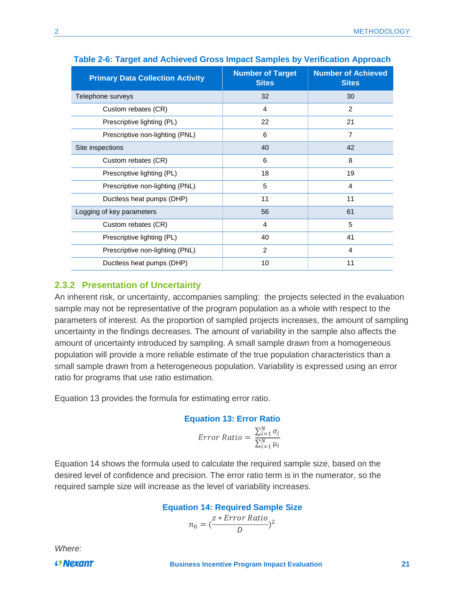| <b>Primary Data Collection Activity</b> | <b>Number of Target</b><br><b>Sites</b> | <b>Number of Achieved</b><br><b>Sites</b> |  |
|-----------------------------------------|-----------------------------------------|-------------------------------------------|--|
| Telephone surveys                       | 32                                      | 30                                        |  |
| Custom rebates (CR)                     | 4                                       | 2                                         |  |
| Prescriptive lighting (PL)              | 22                                      | 21                                        |  |
| Prescriptive non-lighting (PNL)         | 6                                       | $\overline{7}$                            |  |
| Site inspections                        | 40                                      | 42                                        |  |
| Custom rebates (CR)                     | 6                                       | 8                                         |  |
| Prescriptive lighting (PL)              | 18                                      | 19                                        |  |
| Prescriptive non-lighting (PNL)         | 5                                       | 4                                         |  |
| Ductless heat pumps (DHP)               | 11                                      | 11                                        |  |
| Logging of key parameters               | 56                                      | 61                                        |  |
| Custom rebates (CR)                     | 4                                       | 5                                         |  |
| Prescriptive lighting (PL)              | 40                                      | 41                                        |  |
| Prescriptive non-lighting (PNL)         | 2                                       | 4                                         |  |
| Ductless heat pumps (DHP)               | 10                                      | 11                                        |  |

#### <span id="page-25-1"></span>**Table 2-6: Target and Achieved Gross Impact Samples by Verification Approach**

### <span id="page-25-0"></span>**2.3.2 Presentation of Uncertainty**

An inherent risk, or uncertainty, accompanies sampling: the projects selected in the evaluation sample may not be representative of the program population as a whole with respect to the parameters of interest. As the proportion of sampled projects increases, the amount of sampling uncertainty in the findings decreases. The amount of variability in the sample also affects the amount of uncertainty introduced by sampling. A small sample drawn from a homogeneous population will provide a more reliable estimate of the true population characteristics than a small sample drawn from a heterogeneous population. Variability is expressed using an error ratio for programs that use ratio estimation.

<span id="page-25-2"></span>[Equation 13](#page-25-2) provides the formula for estimating error ratio.

### **Equation 13: Error Ratio**

$$
Error Ratio = \frac{\sum_{i=1}^{N} \sigma_i}{\sum_{i=1}^{N} \mu_i}
$$

[Equation 14](#page-25-3) shows the formula used to calculate the required sample size, based on the desired level of confidence and precision. The error ratio term is in the numerator, so the required sample size will increase as the level of variability increases.

**Equation 14: Required Sample Size**

$$
n_0 = \left(\frac{z * Error \ Ratio}{D}\right)^2
$$

<span id="page-25-3"></span>*Where:*

 $O$  Nexant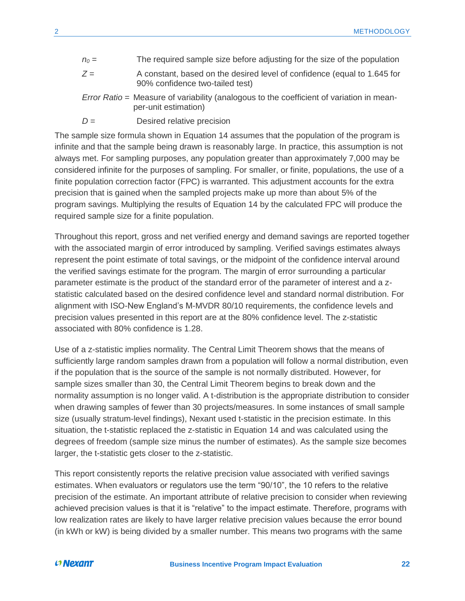- $n<sub>0</sub>$  = The required sample size before adjusting for the size of the population
- *Z* = A constant, based on the desired level of confidence (equal to 1.645 for 90% confidence two-tailed test)
- *Error Ratio* = Measure of variability (analogous to the coefficient of variation in meanper-unit estimation)
- *D* = Desired relative precision

The sample size formula shown in [Equation 14](#page-25-3) assumes that the population of the program is infinite and that the sample being drawn is reasonably large. In practice, this assumption is not always met. For sampling purposes, any population greater than approximately 7,000 may be considered infinite for the purposes of sampling. For smaller, or finite, populations, the use of a finite population correction factor (FPC) is warranted. This adjustment accounts for the extra precision that is gained when the sampled projects make up more than about 5% of the program savings. Multiplying the results of [Equation 14](#page-25-3) by the calculated FPC will produce the required sample size for a finite population.

Throughout this report, gross and net verified energy and demand savings are reported together with the associated margin of error introduced by sampling. Verified savings estimates always represent the point estimate of total savings, or the midpoint of the confidence interval around the verified savings estimate for the program. The margin of error surrounding a particular parameter estimate is the product of the standard error of the parameter of interest and a zstatistic calculated based on the desired confidence level and standard normal distribution. For alignment with ISO-New England's M-MVDR 80/10 requirements, the confidence levels and precision values presented in this report are at the 80% confidence level. The z-statistic associated with 80% confidence is 1.28.

Use of a z-statistic implies normality. The Central Limit Theorem shows that the means of sufficiently large random samples drawn from a population will follow a normal distribution, even if the population that is the source of the sample is not normally distributed. However, for sample sizes smaller than 30, the Central Limit Theorem begins to break down and the normality assumption is no longer valid. A t-distribution is the appropriate distribution to consider when drawing samples of fewer than 30 projects/measures. In some instances of small sample size (usually stratum-level findings), Nexant used t-statistic in the precision estimate. In this situation, the t-statistic replaced the z-statistic in [Equation 14](#page-25-3) and was calculated using the degrees of freedom (sample size minus the number of estimates). As the sample size becomes larger, the t-statistic gets closer to the z-statistic.

This report consistently reports the relative precision value associated with verified savings estimates. When evaluators or regulators use the term "90/10", the 10 refers to the relative precision of the estimate. An important attribute of relative precision to consider when reviewing achieved precision values is that it is "relative" to the impact estimate. Therefore, programs with low realization rates are likely to have larger relative precision values because the error bound (in kWh or kW) is being divided by a smaller number. This means two programs with the same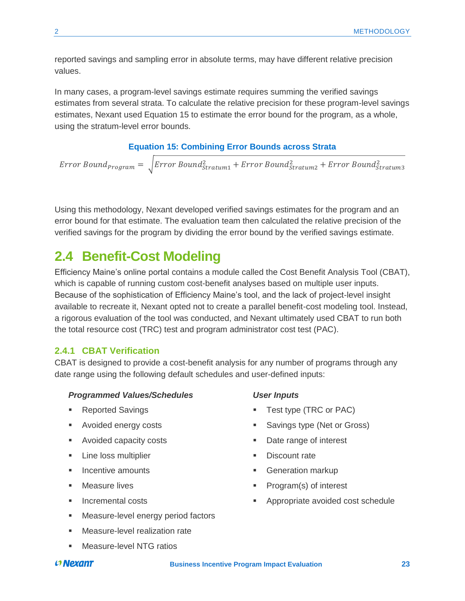reported savings and sampling error in absolute terms, may have different relative precision values.

In many cases, a program-level savings estimate requires summing the verified savings estimates from several strata. To calculate the relative precision for these program-level savings estimates, Nexant used [Equation 15](#page-27-2) to estimate the error bound for the program, as a whole, using the stratum-level error bounds.

### **Equation 15: Combining Error Bounds across Strata**

<span id="page-27-2"></span>Error Bound<sub>Program</sub> =  $\sqrt{Error Bound_{Stratum1}^2 + Error Bound_{Stratum2}^2 + Error Bound_{Stratum3}^2}$ 

Using this methodology, Nexant developed verified savings estimates for the program and an error bound for that estimate. The evaluation team then calculated the relative precision of the verified savings for the program by dividing the error bound by the verified savings estimate.

### <span id="page-27-0"></span>**2.4 Benefit-Cost Modeling**

Efficiency Maine's online portal contains a module called the Cost Benefit Analysis Tool (CBAT), which is capable of running custom cost-benefit analyses based on multiple user inputs. Because of the sophistication of Efficiency Maine's tool, and the lack of project-level insight available to recreate it, Nexant opted not to create a parallel benefit-cost modeling tool. Instead, a rigorous evaluation of the tool was conducted, and Nexant ultimately used CBAT to run both the total resource cost (TRC) test and program administrator cost test (PAC).

### <span id="page-27-1"></span>**2.4.1 CBAT Verification**

CBAT is designed to provide a cost-benefit analysis for any number of programs through any date range using the following default schedules and user-defined inputs:

#### *Programmed Values/Schedules*

- **Reported Savings**
- Avoided energy costs
- Avoided capacity costs
- **EXECUTE:** Line loss multiplier
- Incentive amounts
- Measure lives
- Incremental costs
- Measure-level energy period factors

#### **EXEC** Measure-level realization rate

Measure-level NTG ratios

### *User Inputs*

- Test type (TRC or PAC)
- Savings type (Net or Gross)
- Date range of interest
- Discount rate
- **Generation markup**
- Program(s) of interest
- Appropriate avoided cost schedule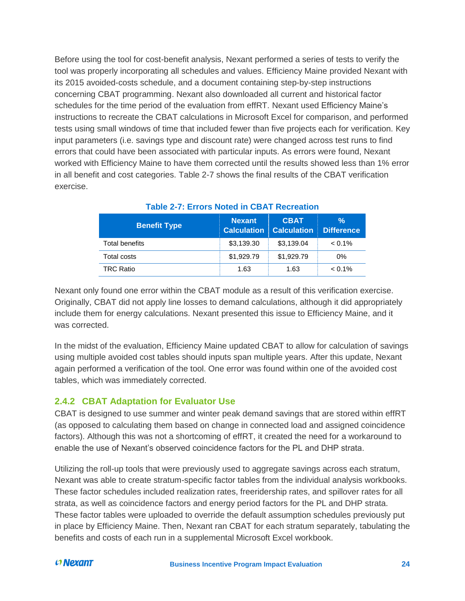Before using the tool for cost-benefit analysis, Nexant performed a series of tests to verify the tool was properly incorporating all schedules and values. Efficiency Maine provided Nexant with its 2015 avoided-costs schedule, and a document containing step-by-step instructions concerning CBAT programming. Nexant also downloaded all current and historical factor schedules for the time period of the evaluation from effRT. Nexant used Efficiency Maine's instructions to recreate the CBAT calculations in Microsoft Excel for comparison, and performed tests using small windows of time that included fewer than five projects each for verification. Key input parameters (i.e. savings type and discount rate) were changed across test runs to find errors that could have been associated with particular inputs. As errors were found, Nexant worked with Efficiency Maine to have them corrected until the results showed less than 1% error in all benefit and cost categories. [Table 2-7](#page-28-1) shows the final results of the CBAT verification exercise.

<span id="page-28-1"></span>

| <b>Benefit Type</b> | <b>Nexant</b><br><b>Calculation</b> | <b>CBAT</b><br><b>Calculation</b> | %<br><b>Difference</b> |
|---------------------|-------------------------------------|-----------------------------------|------------------------|
| Total benefits      | \$3,139.30                          | \$3,139.04                        | $< 0.1\%$              |
| Total costs         | \$1,929.79                          | \$1,929.79                        | $0\%$                  |
| <b>TRC Ratio</b>    | 1.63                                | 1.63                              | $< 0.1\%$              |

### **Table 2-7: Errors Noted in CBAT Recreation**

Nexant only found one error within the CBAT module as a result of this verification exercise. Originally, CBAT did not apply line losses to demand calculations, although it did appropriately include them for energy calculations. Nexant presented this issue to Efficiency Maine, and it was corrected.

In the midst of the evaluation, Efficiency Maine updated CBAT to allow for calculation of savings using multiple avoided cost tables should inputs span multiple years. After this update, Nexant again performed a verification of the tool. One error was found within one of the avoided cost tables, which was immediately corrected.

### <span id="page-28-0"></span>**2.4.2 CBAT Adaptation for Evaluator Use**

CBAT is designed to use summer and winter peak demand savings that are stored within effRT (as opposed to calculating them based on change in connected load and assigned coincidence factors). Although this was not a shortcoming of effRT, it created the need for a workaround to enable the use of Nexant's observed coincidence factors for the PL and DHP strata.

Utilizing the roll-up tools that were previously used to aggregate savings across each stratum, Nexant was able to create stratum-specific factor tables from the individual analysis workbooks. These factor schedules included realization rates, freeridership rates, and spillover rates for all strata, as well as coincidence factors and energy period factors for the PL and DHP strata. These factor tables were uploaded to override the default assumption schedules previously put in place by Efficiency Maine. Then, Nexant ran CBAT for each stratum separately, tabulating the benefits and costs of each run in a supplemental Microsoft Excel workbook.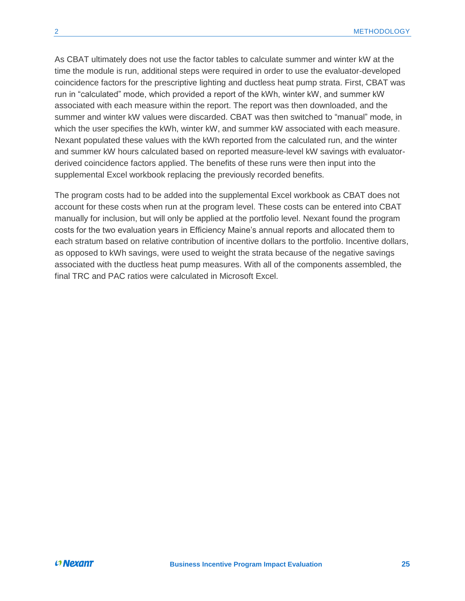As CBAT ultimately does not use the factor tables to calculate summer and winter kW at the time the module is run, additional steps were required in order to use the evaluator-developed coincidence factors for the prescriptive lighting and ductless heat pump strata. First, CBAT was run in "calculated" mode, which provided a report of the kWh, winter kW, and summer kW associated with each measure within the report. The report was then downloaded, and the summer and winter kW values were discarded. CBAT was then switched to "manual" mode, in which the user specifies the kWh, winter kW, and summer kW associated with each measure. Nexant populated these values with the kWh reported from the calculated run, and the winter and summer kW hours calculated based on reported measure-level kW savings with evaluatorderived coincidence factors applied. The benefits of these runs were then input into the supplemental Excel workbook replacing the previously recorded benefits.

The program costs had to be added into the supplemental Excel workbook as CBAT does not account for these costs when run at the program level. These costs can be entered into CBAT manually for inclusion, but will only be applied at the portfolio level. Nexant found the program costs for the two evaluation years in Efficiency Maine's annual reports and allocated them to each stratum based on relative contribution of incentive dollars to the portfolio. Incentive dollars, as opposed to kWh savings, were used to weight the strata because of the negative savings associated with the ductless heat pump measures. With all of the components assembled, the final TRC and PAC ratios were calculated in Microsoft Excel.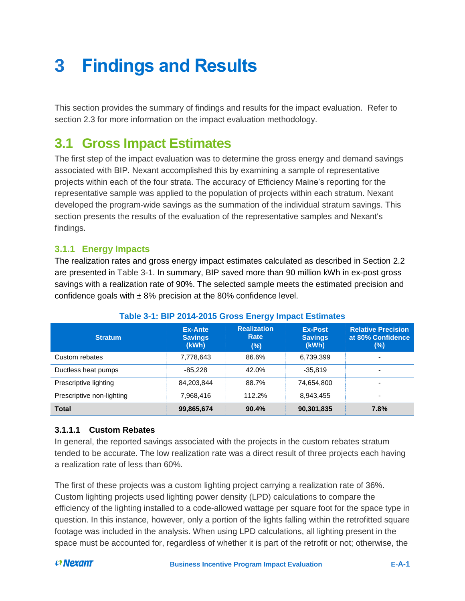# <span id="page-30-0"></span>**3 Findings and Results**

This section provides the summary of findings and results for the impact evaluation. Refer to section 2.3 for more information on the impact evaluation methodology.

## <span id="page-30-1"></span>**3.1 Gross Impact Estimates**

The first step of the impact evaluation was to determine the gross energy and demand savings associated with BIP. Nexant accomplished this by examining a sample of representative projects within each of the four strata. The accuracy of Efficiency Maine's reporting for the representative sample was applied to the population of projects within each stratum. Nexant developed the program-wide savings as the summation of the individual stratum savings. This section presents the results of the evaluation of the representative samples and Nexant's findings.

### <span id="page-30-2"></span>**3.1.1 Energy Impacts**

The realization rates and gross energy impact estimates calculated as described in Section [2.2](#page-13-0) are presented in [Table 3-1.](#page-30-4) In summary, BIP saved more than 90 million kWh in ex-post gross savings with a realization rate of 90%. The selected sample meets the estimated precision and confidence goals with  $\pm$  8% precision at the 80% confidence level.

<span id="page-30-4"></span>

| <b>Stratum</b>            | Ex-Ante<br><b>Savings</b><br>(kWh) | <b>Realization</b><br>Rate<br>(96) | <b>Ex-Post</b><br><b>Savings</b><br>(kWh) | <b>Relative Precision</b><br>at 80% Confidence<br>(%) |
|---------------------------|------------------------------------|------------------------------------|-------------------------------------------|-------------------------------------------------------|
| Custom rebates            | 7,778,643                          | 86.6%                              | 6,739,399                                 | $\overline{\phantom{a}}$                              |
| Ductless heat pumps       | $-85.228$                          | 42.0%                              | $-35.819$                                 | $\overline{\phantom{a}}$                              |
| Prescriptive lighting     | 84,203,844                         | 88.7%                              | 74,654,800                                | $\overline{\phantom{0}}$                              |
| Prescriptive non-lighting | 7,968,416                          | 112.2%                             | 8,943,455                                 | ۰                                                     |
| <b>Total</b>              | 99,865,674                         | 90.4%                              | 90,301,835                                | 7.8%                                                  |

### **Table 3-1: BIP 2014-2015 Gross Energy Impact Estimates**

### <span id="page-30-3"></span>**3.1.1.1 Custom Rebates**

In general, the reported savings associated with the projects in the custom rebates stratum tended to be accurate. The low realization rate was a direct result of three projects each having a realization rate of less than 60%.

The first of these projects was a custom lighting project carrying a realization rate of 36%. Custom lighting projects used lighting power density (LPD) calculations to compare the efficiency of the lighting installed to a code-allowed wattage per square foot for the space type in question. In this instance, however, only a portion of the lights falling within the retrofitted square footage was included in the analysis. When using LPD calculations, all lighting present in the space must be accounted for, regardless of whether it is part of the retrofit or not; otherwise, the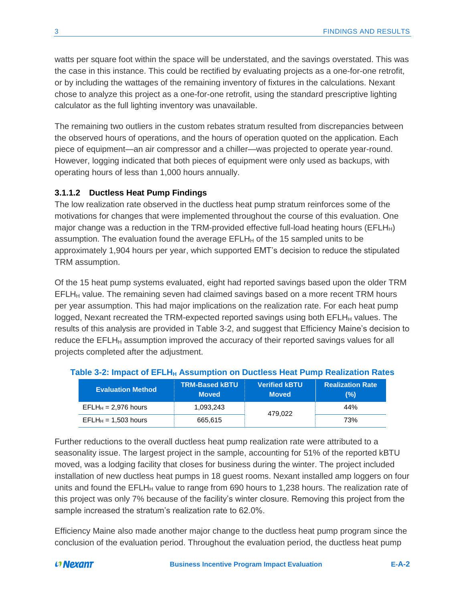watts per square foot within the space will be understated, and the savings overstated. This was the case in this instance. This could be rectified by evaluating projects as a one-for-one retrofit, or by including the wattages of the remaining inventory of fixtures in the calculations. Nexant chose to analyze this project as a one-for-one retrofit, using the standard prescriptive lighting calculator as the full lighting inventory was unavailable.

The remaining two outliers in the custom rebates stratum resulted from discrepancies between the observed hours of operations, and the hours of operation quoted on the application. Each piece of equipment—an air compressor and a chiller—was projected to operate year-round. However, logging indicated that both pieces of equipment were only used as backups, with operating hours of less than 1,000 hours annually.

### <span id="page-31-0"></span>**3.1.1.2 Ductless Heat Pump Findings**

The low realization rate observed in the ductless heat pump stratum reinforces some of the motivations for changes that were implemented throughout the course of this evaluation. One major change was a reduction in the TRM-provided effective full-load heating hours (EFLH $_H$ ) assumption. The evaluation found the average  $EFLH<sub>H</sub>$  of the 15 sampled units to be approximately 1,904 hours per year, which supported EMT's decision to reduce the stipulated TRM assumption.

Of the 15 heat pump systems evaluated, eight had reported savings based upon the older TRM  $EFLH<sub>H</sub>$  value. The remaining seven had claimed savings based on a more recent TRM hours per year assumption. This had major implications on the realization rate. For each heat pump logged, Nexant recreated the TRM-expected reported savings using both  $EFLH<sub>H</sub>$  values. The results of this analysis are provided in [Table 3-2,](#page-31-1) and suggest that Efficiency Maine's decision to reduce the  $EFLH<sub>H</sub>$  assumption improved the accuracy of their reported savings values for all projects completed after the adjustment.

| <u>wwis a milliand of milliard and continual all passives them to milliard community in the second state of the s</u><br><b>Evaluation Method</b> | <b>TRM-Based kBTU</b><br><b>Moved</b> | <b>Verified kBTU</b><br><b>Moved</b> | <b>Realization Rate</b><br>(%) |
|---------------------------------------------------------------------------------------------------------------------------------------------------|---------------------------------------|--------------------------------------|--------------------------------|
| $EFLH_H = 2.976$ hours                                                                                                                            | 1.093.243                             | 479.022                              | 44%                            |
| $EFLH_{H} = 1,503$ hours                                                                                                                          | 665,615                               |                                      | 73%                            |

### <span id="page-31-1"></span>**Table 3-2: Impact of EFLH<sup>H</sup> Assumption on Ductless Heat Pump Realization Rates**

Further reductions to the overall ductless heat pump realization rate were attributed to a seasonality issue. The largest project in the sample, accounting for 51% of the reported kBTU moved, was a lodging facility that closes for business during the winter. The project included installation of new ductless heat pumps in 18 guest rooms. Nexant installed amp loggers on four units and found the  $EFLH<sub>H</sub>$  value to range from 690 hours to 1,238 hours. The realization rate of this project was only 7% because of the facility's winter closure. Removing this project from the sample increased the stratum's realization rate to 62.0%.

Efficiency Maine also made another major change to the ductless heat pump program since the conclusion of the evaluation period. Throughout the evaluation period, the ductless heat pump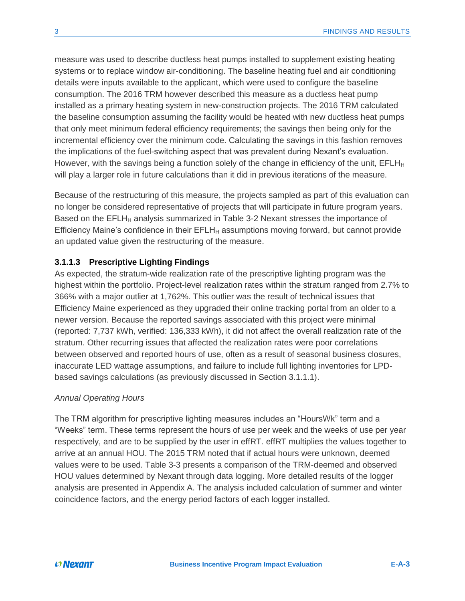measure was used to describe ductless heat pumps installed to supplement existing heating systems or to replace window air-conditioning. The baseline heating fuel and air conditioning details were inputs available to the applicant, which were used to configure the baseline consumption. The 2016 TRM however described this measure as a ductless heat pump installed as a primary heating system in new-construction projects. The 2016 TRM calculated the baseline consumption assuming the facility would be heated with new ductless heat pumps that only meet minimum federal efficiency requirements; the savings then being only for the incremental efficiency over the minimum code. Calculating the savings in this fashion removes the implications of the fuel-switching aspect that was prevalent during Nexant's evaluation. However, with the savings being a function solely of the change in efficiency of the unit,  $EFLH<sub>H</sub>$ will play a larger role in future calculations than it did in previous iterations of the measure.

Because of the restructuring of this measure, the projects sampled as part of this evaluation can no longer be considered representative of projects that will participate in future program years. Based on the  $EFLH<sub>H</sub>$  analysis summarized in [Table 3-2](#page-31-1) Nexant stresses the importance of Efficiency Maine's confidence in their  $EFLH<sub>H</sub>$  assumptions moving forward, but cannot provide an updated value given the restructuring of the measure.

### <span id="page-32-0"></span>**3.1.1.3 Prescriptive Lighting Findings**

As expected, the stratum-wide realization rate of the prescriptive lighting program was the highest within the portfolio. Project-level realization rates within the stratum ranged from 2.7% to 366% with a major outlier at 1,762%. This outlier was the result of technical issues that Efficiency Maine experienced as they upgraded their online tracking portal from an older to a newer version. Because the reported savings associated with this project were minimal (reported: 7,737 kWh, verified: 136,333 kWh), it did not affect the overall realization rate of the stratum. Other recurring issues that affected the realization rates were poor correlations between observed and reported hours of use, often as a result of seasonal business closures, inaccurate LED wattage assumptions, and failure to include full lighting inventories for LPDbased savings calculations (as previously discussed in Section [3.1.1.1\)](#page-30-3).

#### *Annual Operating Hours*

The TRM algorithm for prescriptive lighting measures includes an "HoursWk" term and a "Weeks" term. These terms represent the hours of use per week and the weeks of use per year respectively, and are to be supplied by the user in effRT. effRT multiplies the values together to arrive at an annual HOU. The 2015 TRM noted that if actual hours were unknown, deemed values were to be used. [Table 3-3](#page-33-0) presents a comparison of the TRM-deemed and observed HOU values determined by Nexant through data logging. More detailed results of the logger analysis are presented in [Appendix A.](#page-48-0) The analysis included calculation of summer and winter coincidence factors, and the energy period factors of each logger installed.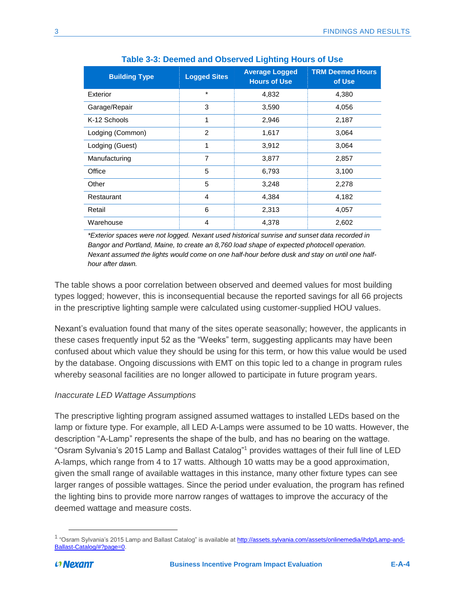<span id="page-33-0"></span>

| <b>Building Type</b> | <b>Logged Sites</b> | <b>Average Logged</b><br><b>Hours of Use</b> | <b>TRM Deemed Hours</b><br>of Use |
|----------------------|---------------------|----------------------------------------------|-----------------------------------|
| Exterior             | $\star$             | 4,832                                        | 4,380                             |
| Garage/Repair        | 3                   | 3,590                                        | 4,056                             |
| K-12 Schools         | 1                   | 2,946                                        | 2,187                             |
| Lodging (Common)     | $\overline{2}$      | 1,617                                        | 3,064                             |
| Lodging (Guest)      | 1                   | 3,912                                        | 3,064                             |
| Manufacturing        | $\overline{7}$      | 3,877                                        | 2,857                             |
| Office               | 5                   | 6,793                                        | 3,100                             |
| Other                | 5                   | 3,248                                        | 2,278                             |
| Restaurant           | $\overline{4}$      | 4,384                                        | 4,182                             |
| Retail               | 6                   | 2,313                                        | 4,057                             |
| Warehouse            | 4                   | 4,378                                        | 2,602                             |

### **Table 3-3: Deemed and Observed Lighting Hours of Use**

*\*Exterior spaces were not logged. Nexant used historical sunrise and sunset data recorded in Bangor and Portland, Maine, to create an 8,760 load shape of expected photocell operation. Nexant assumed the lights would come on one half-hour before dusk and stay on until one halfhour after dawn.*

The table shows a poor correlation between observed and deemed values for most building types logged; however, this is inconsequential because the reported savings for all 66 projects in the prescriptive lighting sample were calculated using customer-supplied HOU values.

Nexant's evaluation found that many of the sites operate seasonally; however, the applicants in these cases frequently input 52 as the "Weeks" term, suggesting applicants may have been confused about which value they should be using for this term, or how this value would be used by the database. Ongoing discussions with EMT on this topic led to a change in program rules whereby seasonal facilities are no longer allowed to participate in future program years.

### *Inaccurate LED Wattage Assumptions*

The prescriptive lighting program assigned assumed wattages to installed LEDs based on the lamp or fixture type. For example, all LED A-Lamps were assumed to be 10 watts. However, the description "A-Lamp" represents the shape of the bulb, and has no bearing on the wattage. "Osram Sylvania's 2015 Lamp and Ballast Catalog" <sup>1</sup> provides wattages of their full line of LED A-lamps, which range from 4 to 17 watts. Although 10 watts may be a good approximation, given the small range of available wattages in this instance, many other fixture types can see larger ranges of possible wattages. Since the period under evaluation, the program has refined the lighting bins to provide more narrow ranges of wattages to improve the accuracy of the deemed wattage and measure costs.

 $\overline{\phantom{a}}$ 

<sup>&</sup>lt;sup>1</sup> "Osram Sylvania's 2015 Lamp and Ballast Catalog" is available at <u>http://assets.sylvania.com/assets/onlinemedia/ihdp/Lamp-and-</u> [Ballast-Catalog/#?page=0.](http://assets.sylvania.com/assets/onlinemedia/ihdp/Lamp-and-Ballast-Catalog/#?page=0)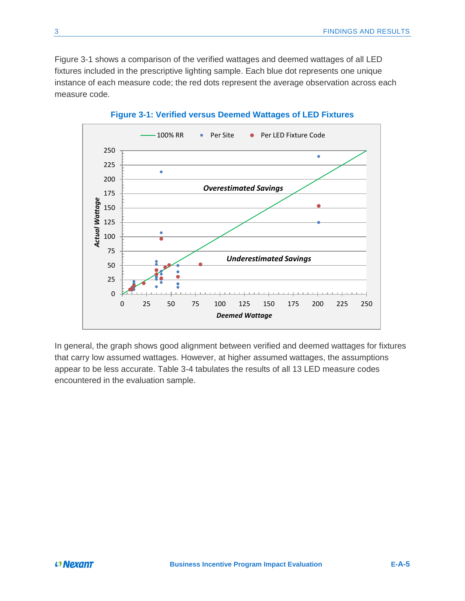[Figure 3-1](#page-34-0) shows a comparison of the verified wattages and deemed wattages of all LED fixtures included in the prescriptive lighting sample. Each blue dot represents one unique instance of each measure code; the red dots represent the average observation across each measure code.

<span id="page-34-0"></span>

**Figure 3-1: Verified versus Deemed Wattages of LED Fixtures**

In general, the graph shows good alignment between verified and deemed wattages for fixtures that carry low assumed wattages. However, at higher assumed wattages, the assumptions appear to be less accurate. [Table 3-4](#page-35-1) tabulates the results of all 13 LED measure codes encountered in the evaluation sample.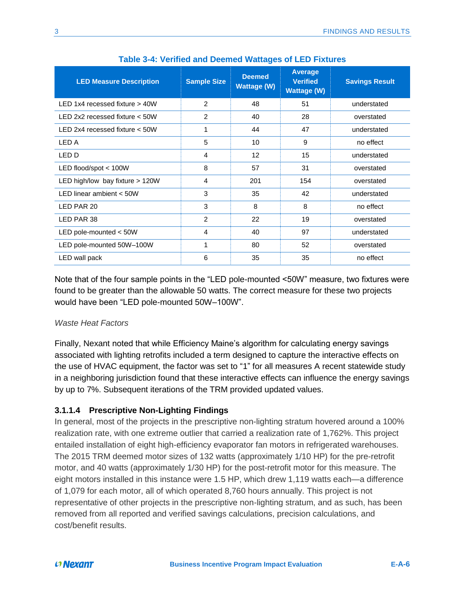<span id="page-35-1"></span>

| <b>LED Measure Description</b>   | <b>Sample Size</b> | <b>Deemed</b><br><b>Wattage (W)</b> | Average<br><b>Verified</b><br><b>Wattage (W)</b> | <b>Savings Result</b> |
|----------------------------------|--------------------|-------------------------------------|--------------------------------------------------|-----------------------|
| LED 1x4 recessed fixture > 40W   | 2                  | 48                                  | 51                                               | understated           |
| LED 2x2 recessed fixture $<$ 50W | $\overline{2}$     | 40                                  | 28                                               | overstated            |
| LED 2x4 recessed fixture $<$ 50W |                    | 44                                  | 47                                               | understated           |
| LED A                            | 5                  | 10                                  | 9                                                | no effect             |
| LED D                            | 4                  | 12                                  | 15                                               | understated           |
| LED flood/spot $<$ 100W          | 8                  | 57                                  | 31                                               | overstated            |
| LED high/low bay fixture > 120W  | 4                  | 201                                 | 154                                              | overstated            |
| LED linear ambient $<$ 50W       | 3                  | 35                                  | 42                                               | understated           |
| LED PAR 20                       | 3                  | 8                                   | 8                                                | no effect             |
| LED PAR 38                       | 2                  | 22                                  | 19                                               | overstated            |
| LED pole-mounted < 50W           | 4                  | 40                                  | 97                                               | understated           |
| LED pole-mounted 50W-100W        |                    | 80                                  | 52                                               | overstated            |
| LED wall pack                    | 6                  | 35                                  | 35                                               | no effect             |

| <b>Table 3-4: Verified and Deemed Wattages of LED Fixtures</b> |  |  |  |  |  |  |  |  |  |
|----------------------------------------------------------------|--|--|--|--|--|--|--|--|--|
|----------------------------------------------------------------|--|--|--|--|--|--|--|--|--|

Note that of the four sample points in the "LED pole-mounted <50W" measure, two fixtures were found to be greater than the allowable 50 watts. The correct measure for these two projects would have been "LED pole-mounted 50W–100W".

### *Waste Heat Factors*

Finally, Nexant noted that while Efficiency Maine's algorithm for calculating energy savings associated with lighting retrofits included a term designed to capture the interactive effects on the use of HVAC equipment, the factor was set to "1" for all measures A recent statewide study in a neighboring jurisdiction found that these interactive effects can influence the energy savings by up to 7%. Subsequent iterations of the TRM provided updated values.

### <span id="page-35-0"></span>**3.1.1.4 Prescriptive Non-Lighting Findings**

In general, most of the projects in the prescriptive non-lighting stratum hovered around a 100% realization rate, with one extreme outlier that carried a realization rate of 1,762%. This project entailed installation of eight high-efficiency evaporator fan motors in refrigerated warehouses. The 2015 TRM deemed motor sizes of 132 watts (approximately 1/10 HP) for the pre-retrofit motor, and 40 watts (approximately 1/30 HP) for the post-retrofit motor for this measure. The eight motors installed in this instance were 1.5 HP, which drew 1,119 watts each—a difference of 1,079 for each motor, all of which operated 8,760 hours annually. This project is not representative of other projects in the prescriptive non-lighting stratum, and as such, has been removed from all reported and verified savings calculations, precision calculations, and cost/benefit results.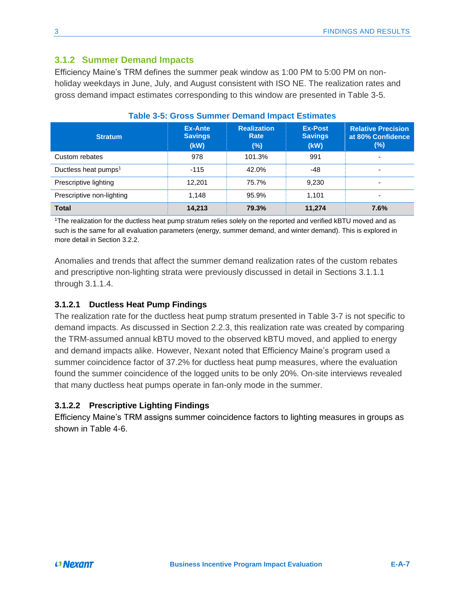### <span id="page-36-0"></span>**3.1.2 Summer Demand Impacts**

Efficiency Maine's TRM defines the summer peak window as 1:00 PM to 5:00 PM on nonholiday weekdays in June, July, and August consistent with ISO NE. The realization rates and gross demand impact estimates corresponding to this window are presented in [Table 3-5.](#page-36-3)

<span id="page-36-3"></span>

| <u>rapic J-J. Oross Jummer Demand impact Lsumates</u> |                                          |                                      |                                          |                                                       |  |  |
|-------------------------------------------------------|------------------------------------------|--------------------------------------|------------------------------------------|-------------------------------------------------------|--|--|
| <b>Stratum</b>                                        | <b>Ex-Ante</b><br><b>Savings</b><br>(KW) | <b>Realization</b><br>Rate<br>$(\%)$ | <b>Ex-Post</b><br><b>Savings</b><br>(KW) | <b>Relative Precision</b><br>at 80% Confidence<br>(%) |  |  |
| Custom rebates                                        | 978                                      | 101.3%                               | 991                                      |                                                       |  |  |
| Ductless heat pumps <sup>1</sup>                      | $-115$                                   | 42.0%                                | -48                                      |                                                       |  |  |
| Prescriptive lighting                                 | 12.201                                   | 75.7%                                | 9,230                                    |                                                       |  |  |
| Prescriptive non-lighting                             | 1,148                                    | 95.9%                                | 1.101                                    |                                                       |  |  |
| <b>Total</b>                                          | 14,213                                   | 79.3%                                | 11,274                                   | 7.6%                                                  |  |  |

### **Table 3-5: Gross Summer Demand Impact Estimates**

<sup>1</sup>The realization for the ductless heat pump stratum relies solely on the reported and verified kBTU moved and as such is the same for all evaluation parameters (energy, summer demand, and winter demand). This is explored in more detail in Section 3.2.2.

Anomalies and trends that affect the summer demand realization rates of the custom rebates and prescriptive non-lighting strata were previously discussed in detail in Sections [3.1.1.1](#page-30-3) through [3.1.1.4.](#page-35-0)

### <span id="page-36-1"></span>**3.1.2.1 Ductless Heat Pump Findings**

The realization rate for the ductless heat pump stratum presented in [Table 3-7](#page-37-1) is not specific to demand impacts. As discussed in Section [2.2.3,](#page-18-0) this realization rate was created by comparing the TRM-assumed annual kBTU moved to the observed kBTU moved, and applied to energy and demand impacts alike. However, Nexant noted that Efficiency Maine's program used a summer coincidence factor of 37.2% for ductless heat pump measures, where the evaluation found the summer coincidence of the logged units to be only 20%. On-site interviews revealed that many ductless heat pumps operate in fan-only mode in the summer.

### <span id="page-36-2"></span>**3.1.2.2 Prescriptive Lighting Findings**

Efficiency Maine's TRM assigns summer coincidence factors to lighting measures in groups as shown in Table 4-6.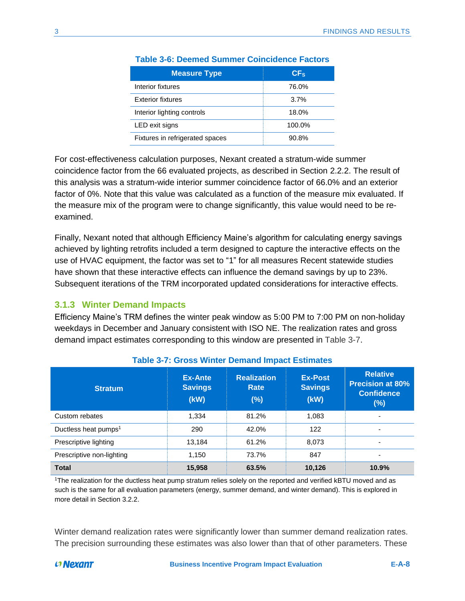| <b>Measure Type</b>             | CF <sub>s</sub> |
|---------------------------------|-----------------|
| Interior fixtures               | 76.0%           |
| <b>Exterior fixtures</b>        | 3.7%            |
| Interior lighting controls      | 18.0%           |
| LED exit signs                  | 100.0%          |
| Fixtures in refrigerated spaces | 90.8%           |

### **Table 3-6: Deemed Summer Coincidence Factors**

For cost-effectiveness calculation purposes, Nexant created a stratum-wide summer coincidence factor from the 66 evaluated projects, as described in Section [2.2.2.](#page-15-0) The result of this analysis was a stratum-wide interior summer coincidence factor of 66.0% and an exterior factor of 0%. Note that this value was calculated as a function of the measure mix evaluated. If the measure mix of the program were to change significantly, this value would need to be reexamined.

Finally, Nexant noted that although Efficiency Maine's algorithm for calculating energy savings achieved by lighting retrofits included a term designed to capture the interactive effects on the use of HVAC equipment, the factor was set to "1" for all measures Recent statewide studies have shown that these interactive effects can influence the demand savings by up to 23%. Subsequent iterations of the TRM incorporated updated considerations for interactive effects.

### <span id="page-37-0"></span>**3.1.3 Winter Demand Impacts**

Efficiency Maine's TRM defines the winter peak window as 5:00 PM to 7:00 PM on non-holiday weekdays in December and January consistent with ISO NE. The realization rates and gross demand impact estimates corresponding to this window are presented in [Table 3-7.](#page-37-1)

<span id="page-37-1"></span>

| <b>Stratum</b>                   | Ex-Ante<br><b>Savings</b><br>(kW) | <b>Realization</b><br>Rate<br>(%) | <b>Ex-Post</b><br><b>Savings</b><br>(kW) | <b>Relative</b><br><b>Precision at 80%</b><br><b>Confidence</b><br>$(\%)$ |
|----------------------------------|-----------------------------------|-----------------------------------|------------------------------------------|---------------------------------------------------------------------------|
| Custom rebates                   | 1,334                             | 81.2%                             | 1,083                                    | ۰                                                                         |
| Ductless heat pumps <sup>1</sup> | 290                               | 42.0%                             | 122                                      | ۰                                                                         |
| Prescriptive lighting            | 13,184                            | 61.2%                             | 8,073                                    | ٠                                                                         |
| Prescriptive non-lighting        | 1,150                             | 73.7%                             | 847                                      | ۰                                                                         |
| <b>Total</b>                     | 15,958                            | 63.5%                             | 10,126                                   | 10.9%                                                                     |

### **Table 3-7: Gross Winter Demand Impact Estimates**

<sup>1</sup>The realization for the ductless heat pump stratum relies solely on the reported and verified kBTU moved and as such is the same for all evaluation parameters (energy, summer demand, and winter demand). This is explored in more detail in Section 3.2.2.

Winter demand realization rates were significantly lower than summer demand realization rates. The precision surrounding these estimates was also lower than that of other parameters. These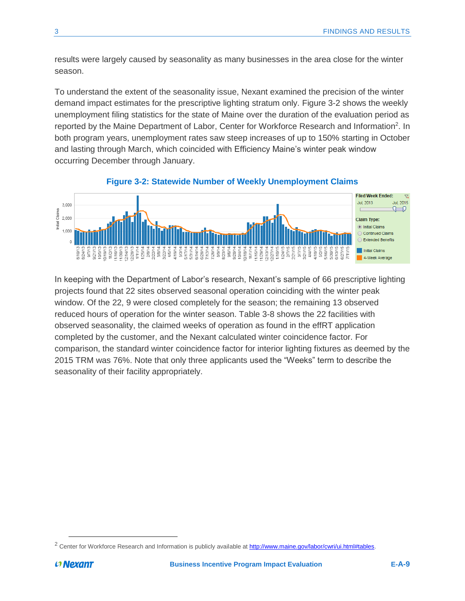results were largely caused by seasonality as many businesses in the area close for the winter season.

To understand the extent of the seasonality issue, Nexant examined the precision of the winter demand impact estimates for the prescriptive lighting stratum only. [Figure 3-2](#page-38-0) shows the weekly unemployment filing statistics for the state of Maine over the duration of the evaluation period as reported by the Maine Department of Labor, Center for Workforce Research and Information<sup>2</sup>. In both program years, unemployment rates saw steep increases of up to 150% starting in October and lasting through March, which coincided with Efficiency Maine's winter peak window occurring December through January.

<span id="page-38-0"></span>

### **Figure 3-2: Statewide Number of Weekly Unemployment Claims**

In keeping with the Department of Labor's research, Nexant's sample of 66 prescriptive lighting projects found that 22 sites observed seasonal operation coinciding with the winter peak window. Of the 22, 9 were closed completely for the season; the remaining 13 observed reduced hours of operation for the winter season. [Table 3-8](#page-39-1) shows the 22 facilities with observed seasonality, the claimed weeks of operation as found in the effRT application completed by the customer, and the Nexant calculated winter coincidence factor. For comparison, the standard winter coincidence factor for interior lighting fixtures as deemed by the 2015 TRM was 76%. Note that only three applicants used the "Weeks" term to describe the seasonality of their facility appropriately.

 $\overline{a}$ 

<sup>&</sup>lt;sup>2</sup> Center for Workforce Research and Information is publicly available a[t http://www.maine.gov/labor/cwri/ui.html#tables.](http://www.maine.gov/labor/cwri/ui.html#tables)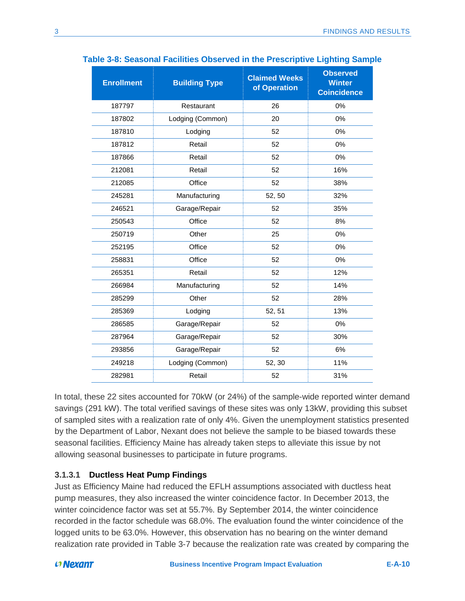| <b>Enrollment</b> | <b>Building Type</b> | <b>Claimed Weeks</b><br>of Operation | <b>Observed</b><br><b>Winter</b><br><b>Coincidence</b> |
|-------------------|----------------------|--------------------------------------|--------------------------------------------------------|
| 187797            | Restaurant           | 26                                   | 0%                                                     |
| 187802            | Lodging (Common)     | 20                                   | 0%                                                     |
| 187810            | Lodging              | 52                                   | 0%                                                     |
| 187812            | Retail               | 52                                   | 0%                                                     |
| 187866            | Retail               | 52                                   | 0%                                                     |
| 212081            | Retail               | 52                                   | 16%                                                    |
| 212085            | Office               | 52                                   | 38%                                                    |
| 245281            | Manufacturing        | 52, 50                               | 32%                                                    |
| 246521            | Garage/Repair        | 52                                   | 35%                                                    |
| 250543            | Office               | 52                                   | 8%                                                     |
| 250719            | Other                | 25                                   | 0%                                                     |
| 252195            | Office               | 52                                   | 0%                                                     |
| 258831            | Office               | 52                                   | 0%                                                     |
| 265351            | Retail               | 52                                   | 12%                                                    |
| 266984            | Manufacturing        | 52                                   | 14%                                                    |
| 285299            | Other                | 52                                   | 28%                                                    |
| 285369            | Lodging              | 52, 51                               | 13%                                                    |
| 286585            | Garage/Repair        | 52                                   | 0%                                                     |
| 287964            | Garage/Repair        | 52                                   | 30%                                                    |
| 293856            | Garage/Repair        | 52                                   | 6%                                                     |
| 249218            | Lodging (Common)     | 52, 30                               | 11%                                                    |
| 282981            | Retail               | 52                                   | 31%                                                    |

### <span id="page-39-1"></span>**Table 3-8: Seasonal Facilities Observed in the Prescriptive Lighting Sample**

In total, these 22 sites accounted for 70kW (or 24%) of the sample-wide reported winter demand savings (291 kW). The total verified savings of these sites was only 13kW, providing this subset of sampled sites with a realization rate of only 4%. Given the unemployment statistics presented by the Department of Labor, Nexant does not believe the sample to be biased towards these seasonal facilities. Efficiency Maine has already taken steps to alleviate this issue by not allowing seasonal businesses to participate in future programs.

### <span id="page-39-0"></span>**3.1.3.1 Ductless Heat Pump Findings**

Just as Efficiency Maine had reduced the EFLH assumptions associated with ductless heat pump measures, they also increased the winter coincidence factor. In December 2013, the winter coincidence factor was set at 55.7%. By September 2014, the winter coincidence recorded in the factor schedule was 68.0%. The evaluation found the winter coincidence of the logged units to be 63.0%. However, this observation has no bearing on the winter demand realization rate provided in [Table 3-7](#page-37-1) because the realization rate was created by comparing the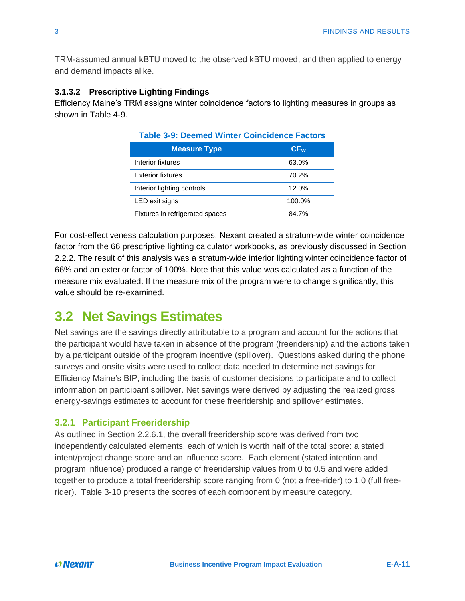TRM-assumed annual kBTU moved to the observed kBTU moved, and then applied to energy and demand impacts alike.

### <span id="page-40-0"></span>**3.1.3.2 Prescriptive Lighting Findings**

Efficiency Maine's TRM assigns winter coincidence factors to lighting measures in groups as shown in Table 4-9.

| <b>Measure Type</b>             | CF <sub>w</sub> |
|---------------------------------|-----------------|
| Interior fixtures               | 63.0%           |
| <b>Exterior fixtures</b>        | 70.2%           |
| Interior lighting controls      | 12.0%           |
| LED exit signs                  | 100.0%          |
| Fixtures in refrigerated spaces | 84.7%           |

**Table 3-9: Deemed Winter Coincidence Factors**

For cost-effectiveness calculation purposes, Nexant created a stratum-wide winter coincidence factor from the 66 prescriptive lighting calculator workbooks, as previously discussed in Section [2.2.2.](#page-15-0) The result of this analysis was a stratum-wide interior lighting winter coincidence factor of 66% and an exterior factor of 100%. Note that this value was calculated as a function of the measure mix evaluated. If the measure mix of the program were to change significantly, this value should be re-examined.

### <span id="page-40-1"></span>**3.2 Net Savings Estimates**

Net savings are the savings directly attributable to a program and account for the actions that the participant would have taken in absence of the program (freeridership) and the actions taken by a participant outside of the program incentive (spillover). Questions asked during the phone surveys and onsite visits were used to collect data needed to determine net savings for Efficiency Maine's BIP, including the basis of customer decisions to participate and to collect information on participant spillover. Net savings were derived by adjusting the realized gross energy-savings estimates to account for these freeridership and spillover estimates.

### <span id="page-40-2"></span>**3.2.1 Participant Freeridership**

As outlined in Section [2.2.6.1,](#page-21-0) the overall freeridership score was derived from two independently calculated elements, each of which is worth half of the total score: a stated intent/project change score and an influence score. Each element (stated intention and program influence) produced a range of freeridership values from 0 to 0.5 and were added together to produce a total freeridership score ranging from 0 (not a free-rider) to 1.0 (full freerider). [Table 3-10](#page-41-2) presents the scores of each component by measure category.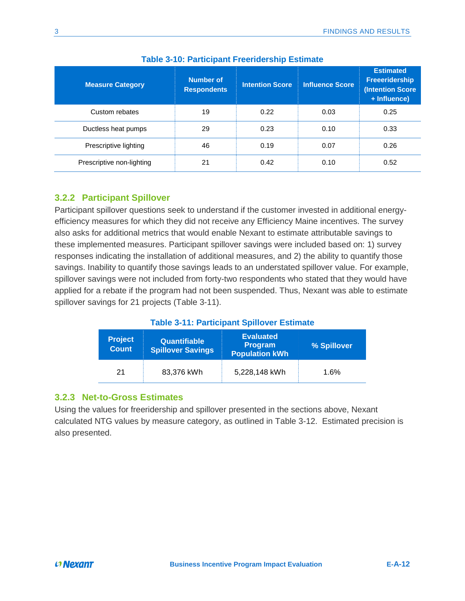<span id="page-41-2"></span>

| <b>Measure Category</b>   | <b>Number of</b><br><b>Respondents</b> | <b>Intention Score</b> | <b>Influence Score</b> | <b>Estimated</b><br><b>Freeeridership</b><br><b>(Intention Score</b><br>+ Influence) |
|---------------------------|----------------------------------------|------------------------|------------------------|--------------------------------------------------------------------------------------|
| Custom rebates            | 19                                     | 0.22                   | 0.03                   | 0.25                                                                                 |
| Ductless heat pumps       | 29                                     | 0.23                   | 0.10                   | 0.33                                                                                 |
| Prescriptive lighting     | 46                                     | 0.19                   | 0.07                   | 0.26                                                                                 |
| Prescriptive non-lighting | 21                                     | 0.42                   | 0.10                   | 0.52                                                                                 |

### **Table 3-10: Participant Freeridership Estimate**

### <span id="page-41-0"></span>**3.2.2 Participant Spillover**

Participant spillover questions seek to understand if the customer invested in additional energyefficiency measures for which they did not receive any Efficiency Maine incentives. The survey also asks for additional metrics that would enable Nexant to estimate attributable savings to these implemented measures. Participant spillover savings were included based on: 1) survey responses indicating the installation of additional measures, and 2) the ability to quantify those savings. Inability to quantify those savings leads to an understated spillover value. For example, spillover savings were not included from forty-two respondents who stated that they would have applied for a rebate if the program had not been suspended. Thus, Nexant was able to estimate spillover savings for 21 projects [\(Table 3-11\)](#page-41-3).

### **Table 3-11: Participant Spillover Estimate**

<span id="page-41-3"></span>

| <b>Project</b><br><b>Count</b> | <b>Quantifiable</b><br><b>Spillover Savings</b> | <b>Evaluated</b><br><b>Program</b><br><b>Population kWh</b> | % Spillover |
|--------------------------------|-------------------------------------------------|-------------------------------------------------------------|-------------|
| 21                             | 83,376 kWh                                      | 5,228,148 kWh                                               | 1.6%        |

### <span id="page-41-1"></span>**3.2.3 Net-to-Gross Estimates**

Using the values for freeridership and spillover presented in the sections above, Nexant calculated NTG values by measure category, as outlined in [Table 3-12.](#page-42-3) Estimated precision is also presented.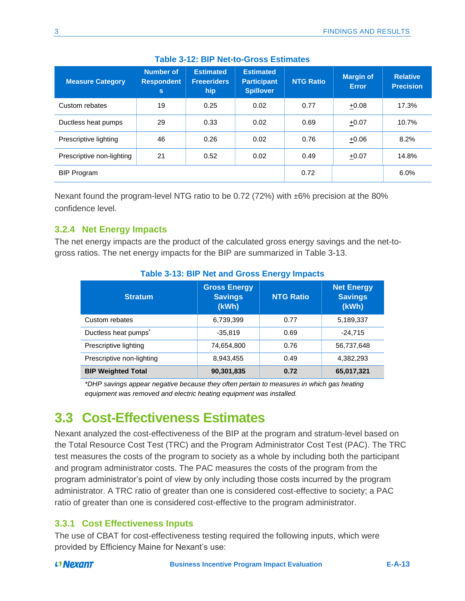<span id="page-42-3"></span>

| <b>Measure Category</b>   | <b>Number of</b><br><b>Respondent</b><br>s | <b>Estimated</b><br><b>Freeeriders</b><br>hip | <b>Estimated</b><br><b>Participant</b><br><b>Spillover</b> | <b>NTG Ratio</b> | Margin of<br><b>Error</b> | <b>Relative</b><br><b>Precision</b> |
|---------------------------|--------------------------------------------|-----------------------------------------------|------------------------------------------------------------|------------------|---------------------------|-------------------------------------|
| Custom rebates            | 19                                         | 0.25                                          | 0.02                                                       | 0.77             | $+0.08$                   | 17.3%                               |
| Ductless heat pumps       | 29                                         | 0.33                                          | 0.02                                                       | 0.69             | $+0.07$                   | 10.7%                               |
| Prescriptive lighting     | 46                                         | 0.26                                          | 0.02                                                       | 0.76             | $+0.06$                   | 8.2%                                |
| Prescriptive non-lighting | 21                                         | 0.52                                          | 0.02                                                       | 0.49             | $+0.07$                   | 14.8%                               |
| <b>BIP Program</b>        |                                            |                                               |                                                            | 0.72             |                           | 6.0%                                |

### **Table 3-12: BIP Net-to-Gross Estimates**

Nexant found the program-level NTG ratio to be 0.72 (72%) with ±6% precision at the 80% confidence level.

### <span id="page-42-0"></span>**3.2.4 Net Energy Impacts**

The net energy impacts are the product of the calculated gross energy savings and the net-togross ratios. The net energy impacts for the BIP are summarized in [Table 3-13.](#page-42-4)

<span id="page-42-4"></span>

| <b>Stratum</b>                   | <b>Gross Energy</b><br><b>Savings</b><br>(kWh) | <b>NTG Ratio</b> | <b>Net Energy</b><br><b>Savings</b><br>(kWh) |  |  |
|----------------------------------|------------------------------------------------|------------------|----------------------------------------------|--|--|
| Custom rebates                   | 6,739,399                                      | 0.77             | 5,189,337                                    |  |  |
| Ductless heat pumps <sup>*</sup> | $-35,819$                                      | 0.69             | $-24,715$                                    |  |  |
| Prescriptive lighting            | 74,654,800                                     | 0.76             | 56,737,648                                   |  |  |
| Prescriptive non-lighting        | 8,943,455                                      | 0.49             | 4,382,293                                    |  |  |
| <b>BIP Weighted Total</b>        | 90,301,835                                     | 0.72             | 65,017,321                                   |  |  |

### **Table 3-13: BIP Net and Gross Energy Impacts**

*\*DHP savings appear negative because they often pertain to measures in which gas heating equipment was removed and electric heating equipment was installed.*

## <span id="page-42-1"></span>**3.3 Cost-Effectiveness Estimates**

Nexant analyzed the cost-effectiveness of the BIP at the program and stratum-level based on the Total Resource Cost Test (TRC) and the Program Administrator Cost Test (PAC). The TRC test measures the costs of the program to society as a whole by including both the participant and program administrator costs. The PAC measures the costs of the program from the program administrator's point of view by only including those costs incurred by the program administrator. A TRC ratio of greater than one is considered cost-effective to society; a PAC ratio of greater than one is considered cost-effective to the program administrator.

### <span id="page-42-2"></span>**3.3.1 Cost Effectiveness Inputs**

The use of CBAT for cost-effectiveness testing required the following inputs, which were provided by Efficiency Maine for Nexant's use: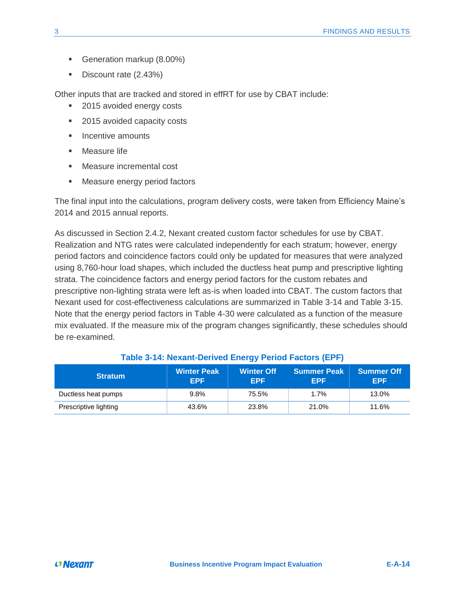- Generation markup (8.00%)
- Discount rate (2.43%)

Other inputs that are tracked and stored in effRT for use by CBAT include:

- 2015 avoided energy costs
- 2015 avoided capacity costs
- Incentive amounts
- Measure life
- Measure incremental cost
- Measure energy period factors

The final input into the calculations, program delivery costs, were taken from Efficiency Maine's 2014 and 2015 annual reports.

As discussed in Section [2.4.2,](#page-28-0) Nexant created custom factor schedules for use by CBAT. Realization and NTG rates were calculated independently for each stratum; however, energy period factors and coincidence factors could only be updated for measures that were analyzed using 8,760-hour load shapes, which included the ductless heat pump and prescriptive lighting strata. The coincidence factors and energy period factors for the custom rebates and prescriptive non-lighting strata were left as-is when loaded into CBAT. The custom factors that Nexant used for cost-effectiveness calculations are summarized in [Table 3-14](#page-43-0) and [Table 3-15.](#page-44-1) Note that the energy period factors in Table 4-30 were calculated as a function of the measure mix evaluated. If the measure mix of the program changes significantly, these schedules should be re-examined.

<span id="page-43-0"></span>

| <b>Stratum</b>        | <b>Winter Peak</b><br><b>EPF</b> | <b>Winter Off</b><br><b>EPF</b> | <b>Summer Peak</b><br><b>EPF</b> | <b>Summer Off</b><br><b>EPF</b> |
|-----------------------|----------------------------------|---------------------------------|----------------------------------|---------------------------------|
| Ductless heat pumps   | 9.8%                             | 75.5%                           | 1.7%                             | 13.0%                           |
| Prescriptive lighting | 43.6%                            | 23.8%                           | 21.0%                            | 11.6%                           |

### **Table 3-14: Nexant-Derived Energy Period Factors (EPF)**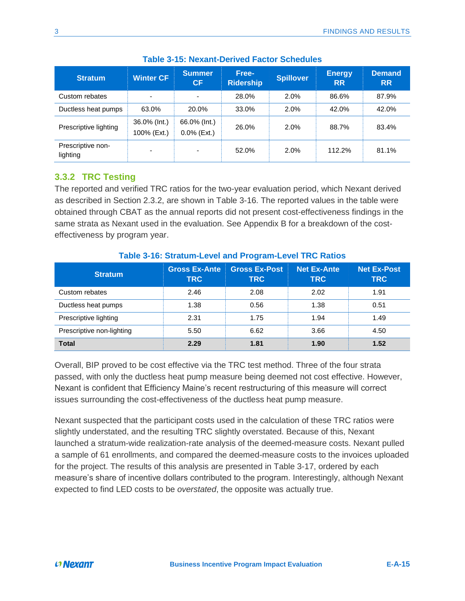<span id="page-44-1"></span>

| <b>Stratum</b>                | <b>Winter CF</b>            | <b>Summer</b><br>CF            | Free-<br><b>Ridership</b> | <b>Spillover</b> | <b>Energy</b><br><b>RR</b> | <b>Demand</b><br><b>RR</b> |
|-------------------------------|-----------------------------|--------------------------------|---------------------------|------------------|----------------------------|----------------------------|
| Custom rebates                | $\overline{\phantom{a}}$    | $\overline{\phantom{0}}$       | 28.0%                     | 2.0%             | 86.6%                      | 87.9%                      |
| Ductless heat pumps           | 63.0%                       | 20.0%                          | 33.0%                     | 2.0%             | 42.0%                      | 42.0%                      |
| Prescriptive lighting         | 36.0% (Int.)<br>100% (Ext.) | 66.0% (Int.)<br>$0.0\%$ (Ext.) | 26.0%                     | 2.0%             | 88.7%                      | 83.4%                      |
| Prescriptive non-<br>lighting | ۰                           | -                              | 52.0%                     | 2.0%             | 112.2%                     | 81.1%                      |

### **Table 3-15: Nexant-Derived Factor Schedules**

### <span id="page-44-0"></span>**3.3.2 TRC Testing**

The reported and verified TRC ratios for the two-year evaluation period, which Nexant derived as described in Section [2.3.2,](#page-25-0) are shown in [Table 3-16.](#page-44-2) The reported values in the table were obtained through CBAT as the annual reports did not present cost-effectiveness findings in the same strata as Nexant used in the evaluation. See [Appendix B](#page-50-0) for a breakdown of the costeffectiveness by program year.

<span id="page-44-2"></span>

| <b>Stratum</b>            | <b>Gross Ex-Ante</b><br><b>TRC</b> | <b>Gross Ex-Post</b><br><b>TRC</b> | <b>Net Ex-Ante</b><br><b>TRC</b> | <b>Net Ex-Post</b><br><b>TRC</b> |
|---------------------------|------------------------------------|------------------------------------|----------------------------------|----------------------------------|
| Custom rebates            | 2.46                               | 2.08                               | 2.02                             | 1.91                             |
| Ductless heat pumps       | 1.38                               | 0.56                               | 1.38                             | 0.51                             |
| Prescriptive lighting     | 2.31                               | 1.75                               | 1.94                             | 1.49                             |
| Prescriptive non-lighting | 5.50                               | 6.62                               | 3.66                             | 4.50                             |
| <b>Total</b>              | 2.29                               | 1.81                               | 1.90                             | 1.52                             |

### **Table 3-16: Stratum-Level and Program-Level TRC Ratios**

Overall, BIP proved to be cost effective via the TRC test method. Three of the four strata passed, with only the ductless heat pump measure being deemed not cost effective. However, Nexant is confident that Efficiency Maine's recent restructuring of this measure will correct issues surrounding the cost-effectiveness of the ductless heat pump measure.

Nexant suspected that the participant costs used in the calculation of these TRC ratios were slightly understated, and the resulting TRC slightly overstated. Because of this, Nexant launched a stratum-wide realization-rate analysis of the deemed-measure costs. Nexant pulled a sample of 61 enrollments, and compared the deemed-measure costs to the invoices uploaded for the project. The results of this analysis are presented in [Table 3-17,](#page-45-0) ordered by each measure's share of incentive dollars contributed to the program. Interestingly, although Nexant expected to find LED costs to be *overstated*, the opposite was actually true.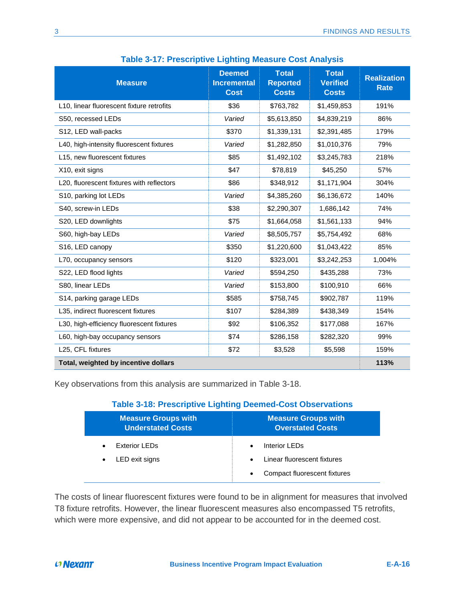<span id="page-45-0"></span>

| $\frac{1}{2}$ and $\frac{1}{2}$ . The surprise Eighting incasure Obst Andrysis |                                                    |                                                 |                                                 |                                   |  |  |
|--------------------------------------------------------------------------------|----------------------------------------------------|-------------------------------------------------|-------------------------------------------------|-----------------------------------|--|--|
| <b>Measure</b>                                                                 | <b>Deemed</b><br><b>Incremental</b><br><b>Cost</b> | <b>Total</b><br><b>Reported</b><br><b>Costs</b> | <b>Total</b><br><b>Verified</b><br><b>Costs</b> | <b>Realization</b><br><b>Rate</b> |  |  |
| L10, linear fluorescent fixture retrofits                                      | \$36                                               | \$763,782                                       | \$1,459,853                                     | 191%                              |  |  |
| S50, recessed LEDs                                                             | Varied                                             | \$5,613,850                                     | \$4,839,219                                     | 86%                               |  |  |
| S12, LED wall-packs                                                            | \$370                                              | \$1,339,131                                     | \$2,391,485                                     | 179%                              |  |  |
| L40, high-intensity fluorescent fixtures                                       | Varied                                             | \$1,282,850                                     | \$1,010,376                                     | 79%                               |  |  |
| L15, new fluorescent fixtures                                                  | \$85                                               | \$1,492,102                                     | \$3,245,783                                     | 218%                              |  |  |
| X10, exit signs                                                                | \$47                                               | \$78,819                                        | \$45,250                                        | 57%                               |  |  |
| L20, fluorescent fixtures with reflectors                                      | \$86                                               | \$348,912                                       | \$1,171,904                                     | 304%                              |  |  |
| S10, parking lot LEDs                                                          | Varied                                             | \$4,385,260                                     | \$6,136,672                                     | 140%                              |  |  |
| S40, screw-in LEDs                                                             | \$38                                               | \$2,290,307                                     | 1,686,142                                       | 74%                               |  |  |
| S20, LED downlights                                                            | \$75                                               | \$1,664,058                                     | \$1,561,133                                     | 94%                               |  |  |
| S60, high-bay LEDs                                                             | Varied                                             | \$8,505,757                                     | \$5,754,492                                     | 68%                               |  |  |
| S16, LED canopy                                                                | \$350                                              | \$1,220,600                                     | \$1,043,422                                     | 85%                               |  |  |
| L70, occupancy sensors                                                         | \$120                                              | \$323,001                                       | \$3,242,253                                     | 1,004%                            |  |  |
| S22, LED flood lights                                                          | Varied                                             | \$594,250                                       | \$435,288                                       | 73%                               |  |  |
| S80, linear LEDs                                                               | Varied                                             | \$153,800                                       | \$100,910                                       | 66%                               |  |  |
| S14, parking garage LEDs                                                       | \$585                                              | \$758,745                                       | \$902,787                                       | 119%                              |  |  |
| L35, indirect fluorescent fixtures                                             | \$107                                              | \$284,389                                       | \$438,349                                       | 154%                              |  |  |
| L30, high-efficiency fluorescent fixtures                                      | \$92                                               | \$106,352                                       | \$177,088                                       | 167%                              |  |  |
| L60, high-bay occupancy sensors                                                | \$74                                               | \$286,158                                       | \$282,320                                       | 99%                               |  |  |
| L25, CFL fixtures                                                              | \$72                                               | \$3,528                                         | \$5,598                                         | 159%                              |  |  |
| Total, weighted by incentive dollars                                           |                                                    |                                                 |                                                 |                                   |  |  |

**Table 3-17: Prescriptive Lighting Measure Cost Analysis**

<span id="page-45-1"></span>Key observations from this analysis are summarized in [Table 3-18.](#page-45-1)

### **Table 3-18: Prescriptive Lighting Deemed-Cost Observations**

| <b>Measure Groups with</b><br><b>Understated Costs</b> | <b>Measure Groups with</b><br><b>Overstated Costs</b> |
|--------------------------------------------------------|-------------------------------------------------------|
| Exterior LEDs                                          | Interior LEDs<br>$\bullet$                            |
| LED exit signs                                         | Linear fluorescent fixtures<br>$\bullet$              |
|                                                        | Compact fluorescent fixtures<br>$\bullet$             |

The costs of linear fluorescent fixtures were found to be in alignment for measures that involved T8 fixture retrofits. However, the linear fluorescent measures also encompassed T5 retrofits, which were more expensive, and did not appear to be accounted for in the deemed cost.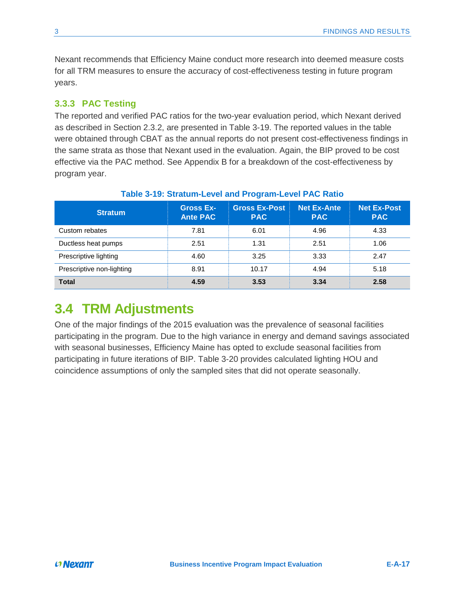Nexant recommends that Efficiency Maine conduct more research into deemed measure costs for all TRM measures to ensure the accuracy of cost-effectiveness testing in future program years.

### <span id="page-46-0"></span>**3.3.3 PAC Testing**

The reported and verified PAC ratios for the two-year evaluation period, which Nexant derived as described in Section [2.3.2,](#page-25-0) are presented in [Table 3-19.](#page-46-1) The reported values in the table were obtained through CBAT as the annual reports do not present cost-effectiveness findings in the same strata as those that Nexant used in the evaluation. Again, the BIP proved to be cost effective via the PAC method. See [Appendix B](#page-50-0) for a breakdown of the cost-effectiveness by program year.

<span id="page-46-1"></span>

| <b>Stratum</b>            | <b>Gross Ex-</b><br><b>Ante PAC</b> | <b>Gross Ex-Post</b><br><b>PAC</b> | <b>Net Ex-Ante</b><br><b>PAC</b> | <b>Net Ex-Post</b><br><b>PAC</b> |
|---------------------------|-------------------------------------|------------------------------------|----------------------------------|----------------------------------|
| Custom rebates            | 7.81                                | 6.01                               | 4.96                             | 4.33                             |
| Ductless heat pumps       | 2.51                                | 1.31                               | 2.51                             | 1.06                             |
| Prescriptive lighting     | 4.60                                | 3.25                               | 3.33                             | 2.47                             |
| Prescriptive non-lighting | 8.91                                | 10.17                              | 4.94                             | 5.18                             |
| <b>Total</b>              | 4.59                                | 3.53                               | 3.34                             | 2.58                             |

#### **Table 3-19: Stratum-Level and Program-Level PAC Ratio**

### **3.4 TRM Adjustments**

One of the major findings of the 2015 evaluation was the prevalence of seasonal facilities participating in the program. Due to the high variance in energy and demand savings associated with seasonal businesses, Efficiency Maine has opted to exclude seasonal facilities from participating in future iterations of BIP. [Table 3-20](#page-47-0) provides calculated lighting HOU and coincidence assumptions of only the sampled sites that did not operate seasonally.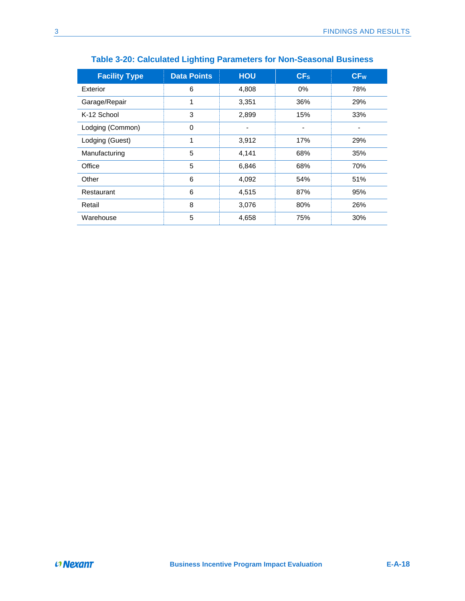<span id="page-47-0"></span>

| <b>Facility Type</b> | <b>Data Points</b> | <b>HOU</b> | CF <sub>s</sub> | CF <sub>w</sub> |
|----------------------|--------------------|------------|-----------------|-----------------|
| Exterior             | 6                  | 4,808      | 0%              | 78%             |
| Garage/Repair        | 1                  | 3,351      | 36%             | 29%             |
| K-12 School          | 3                  | 2,899      | 15%             | 33%             |
| Lodging (Common)     | 0                  |            | ٠               |                 |
| Lodging (Guest)      | 1                  | 3,912      | 17%             | 29%             |
| Manufacturing        | 5                  | 4,141      | 68%             | 35%             |
| Office               | 5                  | 6,846      | 68%             | 70%             |
| Other                | 6                  | 4,092      | 54%             | 51%             |
| Restaurant           | 6                  | 4,515      | 87%             | 95%             |
| Retail               | 8                  | 3,076      | 80%             | 26%             |
| Warehouse            | 5                  | 4,658      | 75%             | 30%             |

### **Table 3-20: Calculated Lighting Parameters for Non-Seasonal Business**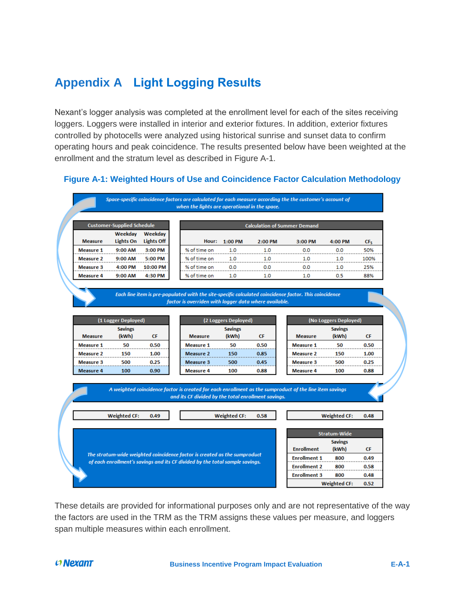## <span id="page-48-0"></span>**Appendix A Light Logging Results**

Nexant's logger analysis was completed at the enrollment level for each of the sites receiving loggers. Loggers were installed in interior and exterior fixtures. In addition, exterior fixtures controlled by photocells were analyzed using historical sunrise and sunset data to confirm operating hours and peak coincidence. The results presented below have been weighted at the enrollment and the stratum level as described in [Figure A-1.](#page-48-1)

### <span id="page-48-1"></span>**Figure A-1: Weighted Hours of Use and Coincidence Factor Calculation Methodology**

|                                                                                         | <b>Customer-Supplied Schedule</b>                                            |                                           |                                                                                                |       |                                  | <b>Calculation of Summer Demand</b>                                                       |                                                                                                                                                                                             |                                  |                        |
|-----------------------------------------------------------------------------------------|------------------------------------------------------------------------------|-------------------------------------------|------------------------------------------------------------------------------------------------|-------|----------------------------------|-------------------------------------------------------------------------------------------|---------------------------------------------------------------------------------------------------------------------------------------------------------------------------------------------|----------------------------------|------------------------|
|                                                                                         | Weekday<br><b>Lights On</b>                                                  | Weekday<br><b>Lights Off</b>              |                                                                                                |       |                                  |                                                                                           |                                                                                                                                                                                             |                                  |                        |
| <b>Measure</b><br><b>Measure 1</b>                                                      | 9:00 AM                                                                      | 3:00 PM                                   | % of time on                                                                                   | Hour: | 1:00 PM<br>1.0                   | 2:00 PM<br>1.0                                                                            | 3:00 PM<br>0.0                                                                                                                                                                              | 4:00 PM<br>0.0                   | CF <sub>S</sub><br>50% |
| <b>Measure 2</b>                                                                        | 9:00 AM                                                                      | 5:00 PM                                   | % of time on                                                                                   |       | 1.0                              | 1.0                                                                                       | 1.0                                                                                                                                                                                         | 1.0                              | 100%                   |
| Measure 3                                                                               | 4:00 PM                                                                      | 10:00 PM                                  | % of time on                                                                                   |       | 0.0                              | 0.0                                                                                       | 0.0                                                                                                                                                                                         | 1.0                              | 25%                    |
| <b>Measure 4</b>                                                                        | 9:00 AM                                                                      | 4:30 PM                                   | % of time on                                                                                   |       | 1.0                              | 1.0                                                                                       | 1.0                                                                                                                                                                                         | 0.5                              | 88%                    |
|                                                                                         |                                                                              |                                           |                                                                                                |       |                                  |                                                                                           | Each line item is pre-populated with the site-specific calculated coincidence factor. This coincidence                                                                                      |                                  |                        |
|                                                                                         |                                                                              |                                           |                                                                                                |       |                                  | factor is overriden with logger data where available.                                     |                                                                                                                                                                                             |                                  |                        |
|                                                                                         | (1 Logger Deployed)                                                          |                                           |                                                                                                |       | (2 Loggers Deployed)             |                                                                                           |                                                                                                                                                                                             | (No Loggers Deployed)            |                        |
|                                                                                         | <b>Savings</b>                                                               |                                           |                                                                                                |       | <b>Savings</b>                   |                                                                                           |                                                                                                                                                                                             | <b>Savings</b>                   | <b>CF</b>              |
|                                                                                         |                                                                              |                                           |                                                                                                |       |                                  |                                                                                           |                                                                                                                                                                                             |                                  | 0.50                   |
|                                                                                         |                                                                              |                                           |                                                                                                |       |                                  |                                                                                           |                                                                                                                                                                                             |                                  | 1.00                   |
|                                                                                         |                                                                              |                                           |                                                                                                |       |                                  |                                                                                           |                                                                                                                                                                                             |                                  | 0.25                   |
|                                                                                         |                                                                              |                                           |                                                                                                |       |                                  |                                                                                           |                                                                                                                                                                                             |                                  | 0.88                   |
| <b>Measure</b><br><b>Measure 1</b><br><b>Measure 2</b><br><b>Measure 3</b><br>Measure 4 | (kWh)<br>50<br>150<br>500<br>100                                             | <b>CF</b><br>0.50<br>1.00<br>0.25<br>0.90 | <b>Measure</b><br><b>Measure 1</b><br><b>Measure 2</b><br><b>Measure 3</b><br><b>Measure 4</b> |       | (kWh)<br>50<br>150<br>500<br>100 | CF<br>0.50<br>0.85<br>0.45<br>0.88<br>and its CF divided by the total enrollment savings. | <b>Measure</b><br><b>Measure 1</b><br><b>Measure 2</b><br>Measure 3<br>Measure 4<br>A weighted coincidence factor is created for each enrollment as the sumproduct of the line item savings | (kWh)<br>50<br>150<br>500<br>100 |                        |
|                                                                                         | <b>Weighted CF:</b>                                                          | 0.49                                      |                                                                                                |       | <b>Weighted CF:</b>              | 0.58                                                                                      |                                                                                                                                                                                             | <b>Weighted CF:</b>              | 0.48                   |
|                                                                                         |                                                                              |                                           |                                                                                                |       |                                  |                                                                                           |                                                                                                                                                                                             |                                  |                        |
|                                                                                         |                                                                              |                                           |                                                                                                |       |                                  |                                                                                           |                                                                                                                                                                                             | Stratum-Wide                     |                        |
|                                                                                         |                                                                              |                                           |                                                                                                |       |                                  |                                                                                           | <b>Enrollment</b>                                                                                                                                                                           | <b>Savings</b>                   | <b>CF</b>              |
|                                                                                         | The stratum-wide weighted coincidence factor is created as the sumproduct    |                                           |                                                                                                |       |                                  |                                                                                           | <b>Enrollment 1</b>                                                                                                                                                                         | (kWh)<br>800                     | 0.49                   |
|                                                                                         | of each enrollment's savings and its CF divided by the total sample savings. |                                           |                                                                                                |       |                                  |                                                                                           | <b>Enrollment 2</b>                                                                                                                                                                         | 800                              | 0.58                   |
|                                                                                         |                                                                              |                                           |                                                                                                |       |                                  |                                                                                           | <b>Enrollment 3</b>                                                                                                                                                                         | 800                              | 0.48                   |

These details are provided for informational purposes only and are not representative of the way the factors are used in the TRM as the TRM assigns these values per measure, and loggers span multiple measures within each enrollment.

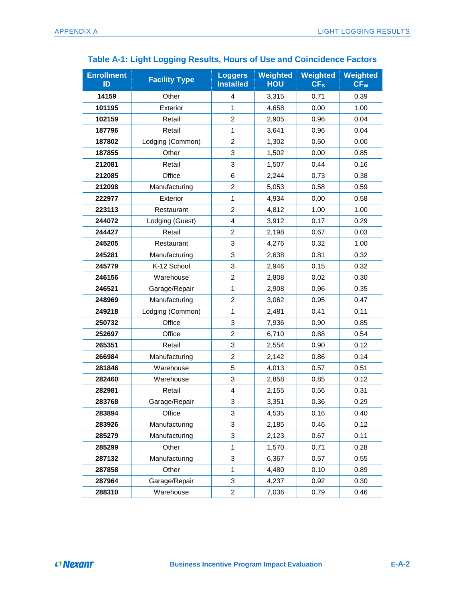| <b>Enrollment</b><br>ID | <b>Facility Type</b> | <b>Loggers</b><br><b>Installed</b> | Weighted<br><b>HOU</b> | Weighted<br>CF <sub>s</sub> | Weighted<br>CF <sub>W</sub> |
|-------------------------|----------------------|------------------------------------|------------------------|-----------------------------|-----------------------------|
| 14159                   | Other                | $\overline{4}$                     | 3,315                  | 0.71                        | 0.39                        |
| 101195                  | Exterior             | $\mathbf{1}$                       | 4,658                  | 0.00                        | 1.00                        |
| 102159                  | Retail               | $\overline{2}$                     | 2,905                  | 0.96                        | 0.04                        |
| 187796                  | Retail               | $\mathbf{1}$                       | 3,641                  | 0.96                        | 0.04                        |
| 187802                  | Lodging (Common)     | $\overline{2}$                     | 1,302                  | 0.50                        | 0.00                        |
| 187855                  | Other                | 3                                  | 1,502                  | 0.00                        | 0.85                        |
| 212081                  | Retail               | 3                                  | 1,507                  | 0.44                        | 0.16                        |
| 212085                  | Office               | 6                                  | 2,244                  | 0.73                        | 0.38                        |
| 212098                  | Manufacturing        | $\overline{c}$                     | 5,053                  | 0.58                        | 0.59                        |
| 222977                  | Exterior             | $\mathbf{1}$                       | 4,934                  | 0.00                        | 0.58                        |
| 223113                  | Restaurant           | $\overline{2}$                     | 4,812                  | 1.00                        | 1.00                        |
| 244072                  | Lodging (Guest)      | $\overline{4}$                     | 3,912                  | 0.17                        | 0.29                        |
| 244427                  | Retail               | 2                                  | 2,198                  | 0.67                        | 0.03                        |
| 245205                  | Restaurant           | 3                                  | 4,276                  | 0.32                        | 1.00                        |
| 245281                  | Manufacturing        | 3                                  | 2,638                  | 0.81                        | 0.32                        |
| 245779                  | K-12 School          | 3                                  | 2,946                  | 0.15                        | 0.32                        |
| 246156                  | Warehouse            | 2                                  | 2,808                  | 0.02                        | 0.30                        |
| 246521                  | Garage/Repair        | $\mathbf{1}$                       | 2,908                  | 0.96                        | 0.35                        |
| 248969                  | Manufacturing        | $\overline{2}$                     | 3,062                  | 0.95                        | 0.47                        |
| 249218                  | Lodging (Common)     | 1                                  | 2,481                  | 0.41                        | 0.11                        |
| 250732                  | Office               | 3                                  | 7,936                  | 0.90                        | 0.85                        |
| 252697                  | Office               | $\overline{c}$                     | 6,710                  | 0.88                        | 0.54                        |
| 265351                  | Retail               | 3                                  | 2,554                  | 0.90                        | 0.12                        |
| 266984                  | Manufacturing        | $\overline{c}$                     | 2,142                  | 0.86                        | 0.14                        |
| 281846                  | Warehouse            | 5                                  | 4,013                  | 0.57                        | 0.51                        |
| 282460                  | Warehouse            | 3                                  | 2,858                  | 0.85                        | 0.12                        |
| 282981                  | Retail               | 4                                  | 2,155                  | 0.56                        | 0.31                        |
| 283768                  | Garage/Repair        | 3                                  | 3,351                  | 0.36                        | 0.29                        |
| 283894                  | Office               | 3                                  | 4,535                  | 0.16                        | 0.40                        |
| 283926                  | Manufacturing        | 3                                  | 2,185                  | 0.46                        | 0.12                        |
| 285279                  | Manufacturing        | 3                                  | 2,123                  | 0.67                        | 0.11                        |
| 285299                  | Other                | $\mathbf{1}$                       | 1,570                  | 0.71                        | 0.28                        |
| 287132                  | Manufacturing        | 3                                  | 6,367                  | 0.57                        | 0.55                        |
| 287858                  | Other                | $\mathbf{1}$                       | 4,480                  | 0.10                        | 0.89                        |
| 287964                  | Garage/Repair        | 3                                  | 4,237                  | 0.92                        | 0.30                        |
| 288310                  | Warehouse            | $\overline{\mathbf{c}}$            | 7,036                  | 0.79                        | 0.46                        |

### **Table A-1: Light Logging Results, Hours of Use and Coincidence Factors**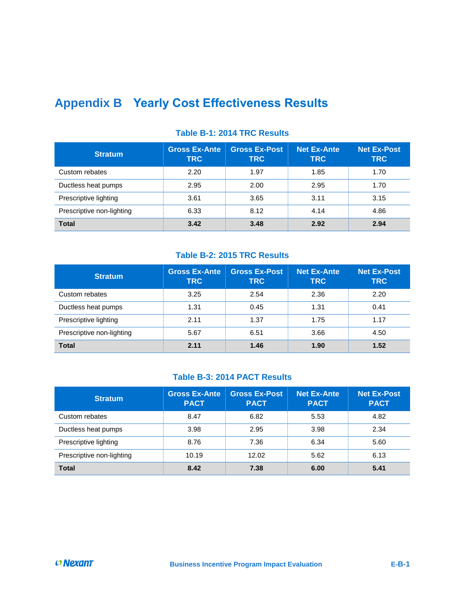# <span id="page-50-0"></span>**Appendix B Yearly Cost Effectiveness Results**

| <b>Stratum</b>            | <b>Gross Ex-Ante</b><br><b>TRC</b> | <b>Gross Ex-Post</b><br><b>TRC</b> | <b>Net Ex-Ante</b><br><b>TRC</b> | <b>Net Ex-Post</b><br><b>TRC</b> |
|---------------------------|------------------------------------|------------------------------------|----------------------------------|----------------------------------|
| Custom rebates            | 2.20                               | 1.97                               | 1.85                             | 1.70                             |
| Ductless heat pumps       | 2.95                               | 2.00                               | 2.95                             | 1.70                             |
| Prescriptive lighting     | 3.61                               | 3.65                               | 3.11                             | 3.15                             |
| Prescriptive non-lighting | 6.33                               | 8.12                               | 4.14                             | 4.86                             |
| <b>Total</b>              | 3.42                               | 3.48                               | 2.92                             | 2.94                             |

### **Table B-1: 2014 TRC Results**

### **Table B-2: 2015 TRC Results**

| <b>Stratum</b>            | <b>Gross Ex-Ante</b><br><b>TRC</b> | <b>Gross Ex-Post</b><br><b>TRC</b> | <b>Net Ex-Ante</b><br><b>TRC</b> | <b>Net Ex-Post</b><br><b>TRC</b> |
|---------------------------|------------------------------------|------------------------------------|----------------------------------|----------------------------------|
| Custom rebates            | 3.25                               | 2.54                               | 2.36                             | 2.20                             |
| Ductless heat pumps       | 1.31                               | 0.45                               | 1.31                             | 0.41                             |
| Prescriptive lighting     | 2.11                               | 1.37                               | 1.75                             | 1.17                             |
| Prescriptive non-lighting | 5.67                               | 6.51                               | 3.66                             | 4.50                             |
| <b>Total</b>              | 2.11                               | 1.46                               | 1.90                             | 1.52                             |

### **Table B-3: 2014 PACT Results**

| <b>Stratum</b>            | <b>Gross Ex-Ante</b><br><b>PACT</b> | <b>Gross Ex-Post</b><br><b>PACT</b> | <b>Net Ex-Ante</b><br><b>PACT</b> | <b>Net Ex-Post</b><br><b>PACT</b> |
|---------------------------|-------------------------------------|-------------------------------------|-----------------------------------|-----------------------------------|
| Custom rebates            | 8.47                                | 6.82                                | 5.53                              | 4.82                              |
| Ductless heat pumps       | 3.98                                | 2.95                                | 3.98                              | 2.34                              |
| Prescriptive lighting     | 8.76                                | 7.36                                | 6.34                              | 5.60                              |
| Prescriptive non-lighting | 10.19                               | 12.02                               | 5.62                              | 6.13                              |
| <b>Total</b>              | 8.42                                | 7.38                                | 6.00                              | 5.41                              |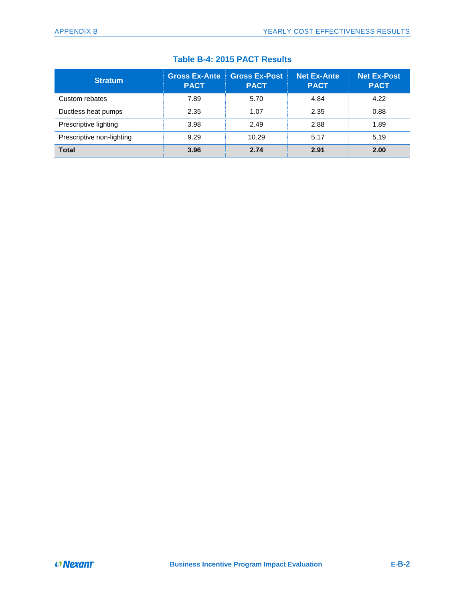|  |  |  |  | Table B-4: 2015 PACT Results |  |
|--|--|--|--|------------------------------|--|
|--|--|--|--|------------------------------|--|

| <b>Stratum</b>            | <b>Gross Ex-Ante</b><br><b>PACT</b> | <b>Gross Ex-Post</b><br><b>PACT</b> | <b>Net Ex-Ante</b><br><b>PACT</b> | <b>Net Ex-Post</b><br><b>PACT</b> |
|---------------------------|-------------------------------------|-------------------------------------|-----------------------------------|-----------------------------------|
| Custom rebates            | 7.89                                | 5.70                                | 4.84                              | 4.22                              |
| Ductless heat pumps       | 2.35                                | 1.07                                | 2.35                              | 0.88                              |
| Prescriptive lighting     | 3.98                                | 2.49                                | 2.88                              | 1.89                              |
| Prescriptive non-lighting | 9.29                                | 10.29                               | 5.17                              | 5.19                              |
| <b>Total</b>              | 3.96                                | 2.74                                | 2.91                              | 2.00                              |